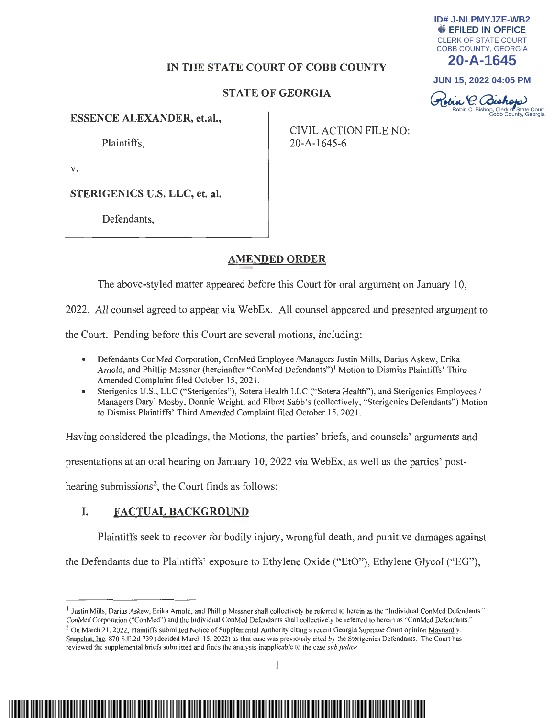# **IN THE STATE COURT OF COBB COUNTY**

# **STATE OF GEORGIA**

**ESSENCE ALEXANDER, et.al.,** 

Plaintiffs,

CIVIL ACTION FILE NO: 20-A-1645-6

CLERK OF STATE COURT COBB COUNTY, GEORGIA **20-A-1645**

**ID# J-NLPMYJZE-WB2**

**JUN 15, 2022 04:05 PM**

Kobin C. Bishop

Bishop, Clerk of State Court<br>Cobb County, Georgia

**V.** 

**STERIGENICS U.S. LLC, et. al.** 

Defendants,

# **AMENDED ORDER**

The above-styled matter appeared before this Court for oral argument on January 10,

2022. All counsel agreed to appear via WebEx. All counsel appeared and presented argument to

the Court. Pending before this Court are several motions, including:

- Defendants ConMed Corporation, ConMed Employee /Managers Justin Mills, Darius Askew, Erika Arnold, and Phillip Messner (hereinafter "ConMed Defendants")' Motion to Dismiss Plaintiffs' Third Amended Complaint filed October 15, 202 1.
- Sterigenics U.S., LLC ("Sterigenics"), Sotera Health LLC ("Sotera Health"), and Sterigenics Employees / Managers Daryl Mosby, Donnie Wright, and Elbert Sabb's (collectively, "Sterigenics Defendants") Motion to Dismiss Plaintiffs' Third Amended Complaint filed October 15, 202 1.

Having considered the pleadings, the Motions, the parties' briefs, and counsels' arguments and

presentations at an oral hearing on January 10, 2022 via WebEx, as well as the parties' post-

hearing submissions<sup>2</sup>, the Court finds as follows:

# **I. FACTUAL BACKGROUND**

Plaintiffs seek to recover for bodily injury, wrongful death, and punitive damages against

the Defendants due to Plaintiffs' exposure to Ethylene Oxide ("EtO"), Ethylene Glycol ("EG"),

<sup>&</sup>lt;sup>1</sup> Justin Mills, Darius Askew, Erika Arnold, and Phillip Messner shall collectively be referred to herein as the "Individual ConMed Defendants."<br>ConMed Corporation ("ConMed") and the Individual ConMed Defendants shall co

<sup>&</sup>lt;sup>2</sup> On March 21, 2022, Plaintiffs submitted Notice of Supplemental Authority citing a recent Georgia Supreme Court opinion Maynard v. Snapchat. Inc. 870 S.E.2d 739 (decided March 15, 2022) as that case was previously cited by the Sterigenics Defendants. The Court has reviewed the supplemental briefs submitted and finds the analysis inapplicable to the case *sub Judice .*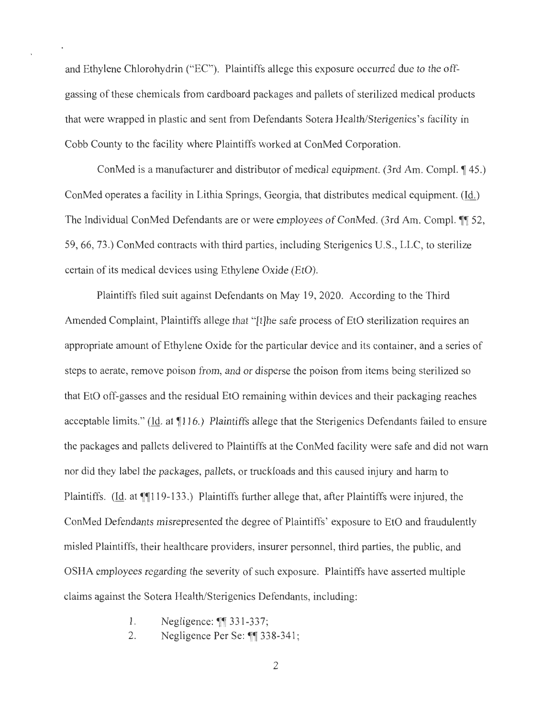and Ethylene Chlorohydrin ("EC"). Plaintiffs allege this exposure occurred due to the offgassing of these chemicals from cardboard packages and pallets of sterilized medical products that were wrapped in plastic and sent from Defendants Sotera Health/Sterigenics's facility in Cobb County to the facility where Plaintiffs worked at ConMed Corporation.

ConMed is a manufacturer and distributor of medical equipment. (3rd Am. Compl.  $\P$  45.) ConMed operates a facility in Lithia Springs, Georgia, that distributes medical equipment. (Id.) The Individual ConMed Defendants are or were employees of ConMed. (3rd Am. Compl. 11 52, 59, 66, 73.) ConMed contracts with third parties, including Sterigenics U.S., LLC, to sterilize certain of its medical devices using Ethylene Oxide (EtO).

Plaintiffs filed suit against Defendants on May 19, 2020. According to the Third Amended Complaint, Plaintiffs allege that "[t]he safe process of EtO sterilization requires an appropriate amount of Ethylene Oxide for the particular device and its container, and a series of steps to aerate, remove poison from, and or disperse the poison from items being sterilized so that EtO off-gasses and the residual EtO remaining within devices and their packaging reaches acceptable limits." (Id. at  $\P{116}$ .) Plaintiffs allege that the Sterigenics Defendants failed to ensure the packages and pallets delivered to Plaintiffs at the ConMed facility were safe and did not warn nor did they label the packages, pallets, or truckloads and this caused injury and harm to Plaintiffs. (Id. at  $\P$ 119-133.) Plaintiffs further allege that, after Plaintiffs were injured, the ConMed Defendants misrepresented the degree of Plaintiffs' exposure to EtO and fraudulently misled Plaintiffs, their healthcare providers, insurer personnel, third parties, the public, and OSHA employees regarding the severity of such exposure. Plaintiffs have asserted multiple claims against the Sotera Health/Sterigenics Defendants, including:

1. Negligence:  $\sqrt{\ }$  331-337;

2. Negligence Per Se: ¶¶ 338-341;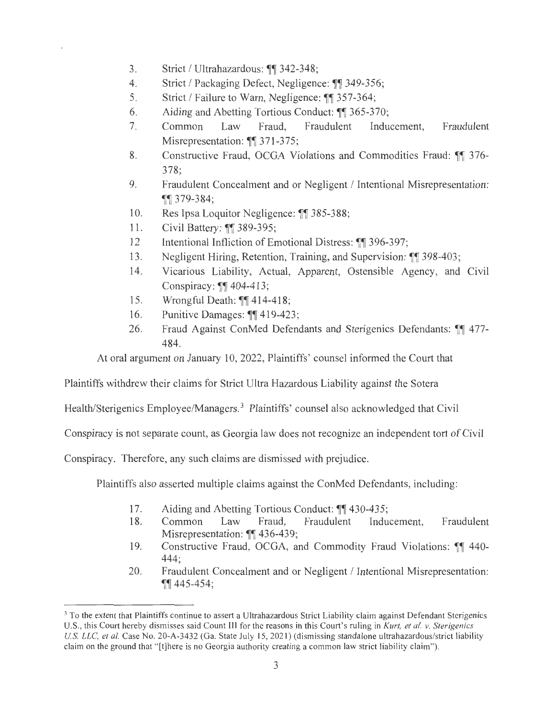- 3. Strict / Ultrahazardous: ¶1 342-348;
- 4. Strict I Packaging Defect, Negligence: **11** 349-356;
- 5. Strict / Failure to Warn, Negligence:  $\P$  357-364;
- 6. Aiding and Abetting Tortious Conduct:  $\P$  365-370;
- 7. Common Law Fraud, Fraudulent Inducement, Fraudulent Misrepresentation: **11** 371-375;
- 8. Constructive Fraud, OCGA Violations and Commodities Fraud: **11** 376- 378;
- 9. Fraudulent Concealment and or Negligent / Intentional Misrepresentation: 11379-384;
- 10. Res Ipsa Loquitor Negligence: ¶ 385-388;
- 11. Civil Battery: ¶ 389-395;
- 12 Intentional Infliction of Emotional Distress: 11 396-397;
- 13. Negligent Hiring, Retention, Training, and Supervision: 11 398-403;
- 14. Vicarious Liability, Actual, Apparent, Ostensible Agency, and Civil Conspiracy: **11** 404-413;
- 15. Wrongful Death: **114-418**;
- 16. Punitive Damages:  $\P\P$  419-423;
- 26. Fraud Against ConMed Defendants and Sterigenics Defendants: **11** 477- 484.

At oral argument on January 10, 2022, Plaintiffs' counsel informed the Court that

Plaintiffs withdrew their claims for Strict Ultra Hazardous Liability against the Sotera

Health/Sterigenics Employee/Managers.<sup>3</sup> Plaintiffs' counsel also acknowledged that Civil

Conspiracy is not separate count, as Georgia law does not recognize an independent tort of Civil

Conspiracy. Therefore, any such claims are dismissed with prejudice.

Plaintiffs also asserted multiple claims against the ConMed Defendants, including:

- 17. Aiding and Abetting Tortious Conduct:  $\P\P$  430-435;
- 18. Common Law Fraud, Fraudulent Inducement, Fraudulent Misrepresentation: **11** 436-439;
- 19. Constructive Fraud, OCGA, and Commodity Fraud Violations: **11** 440- 444;
- 20. Fraudulent Concealment and or Negligent / Intentional Misrepresentation: **11445-454;**

<sup>&</sup>lt;sup>3</sup> To the extent that Plaintiffs continue to assert a Ultrahazardous Strict Liability claim against Defendant Sterigenics U.S., this Court hereby dismisses said Count III for the reasons in this Court's ruling in *Kurt, et al. v. Sterigenics U.S.* LLC, *et al.* Case No. 20-A-3432 (Ga. State July 15, 2021) (dismissing standalone ultrahazardous/strict liability claim on the ground that " [t]here is no Georgia authority creating a common law strict liability claim").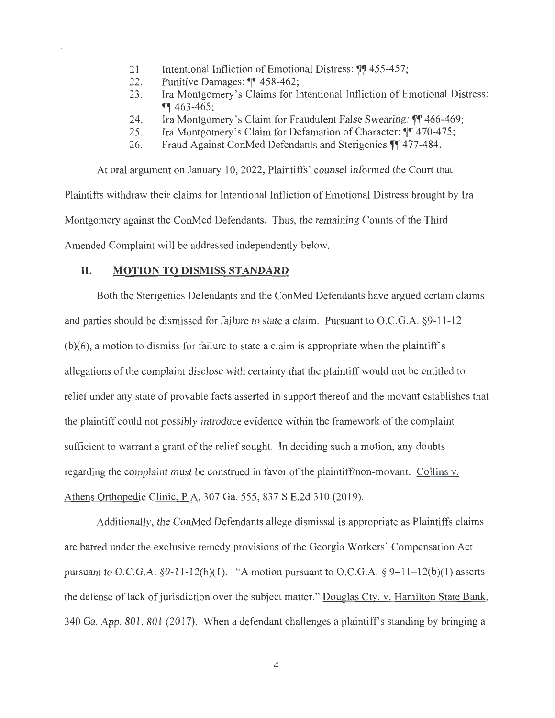- 21 Intentional Infliction of Emotional Distress:  $\left\| \right\|$  455-457;<br>22. Punitive Damages:  $\left\| \right\|$  458-462;
- Punitive Damages: ¶¶ 458-462;
- 23 . Ira Montgomery 's Claims for Intentional Infliction of Emotional Distress:  $\P\P$ 463-465;
- 24. Ira Montgomery's Claim for Fraudulent False Swearing:  $\mathbb{I}$  466-469;
- 25. Ira Montgomery's Claim for Defamation of Character: [1] 470-475;
- 26. Fraud Against ConMed Defendants and Sterigenics <sup>11</sup> 477-484.

At oral argument on January 10, 2022, Plaintiffs' counsel informed the Court that Plaintiffs withdraw their claims for Intentional Infliction of Emotional Distress brought by Ira Montgomery against the ConMed Defendants. Thus, the remaining Counts of the Third Amended Complaint will be addressed independently below.

#### **II. MOTION TO DISMISS STANDARD**

Both the Sterigenics Defendants and the ConMed Defendants have argued certain claims and parties should be dismissed for failure to state a claim. Pursuant to O.C.G.A. §9-11-12  $(b)(6)$ , a motion to dismiss for failure to state a claim is appropriate when the plaintiff's allegations of the complaint disclose with certainty that the plaintiff would not be entitled to relief under any state of provable facts asserted in support thereof and the movant establishes that the plaintiff could not possibly introduce evidence within the framework of the complaint sufficient to warrant a grant of the relief sought. In deciding such a motion, any doubts regarding the complaint must be construed in favor of the plaintiff/non-movant. Collins v. Athens Orthopedic Clinic, P.A. 307 Ga. 555, 837 S.E.2d 310 (2019).

Additionally, the ConMed Defendants allege dismissal is appropriate as Plaintiffs claims are barred under the exclusive remedy provisions of the Georgia Workers' Compensation Act pursuant to O.C.G.A. §9-11-12(b)(1). "A motion pursuant to O.C.G.A. § 9-11-12(b)(1) asserts the defense of lack of jurisdiction over the subject matter." Douglas Cty. v. Hamilton State Bank, 340 Ga. App. 801 , 801 (2017). When a defendant challenges a plaintiff's standing by bringing a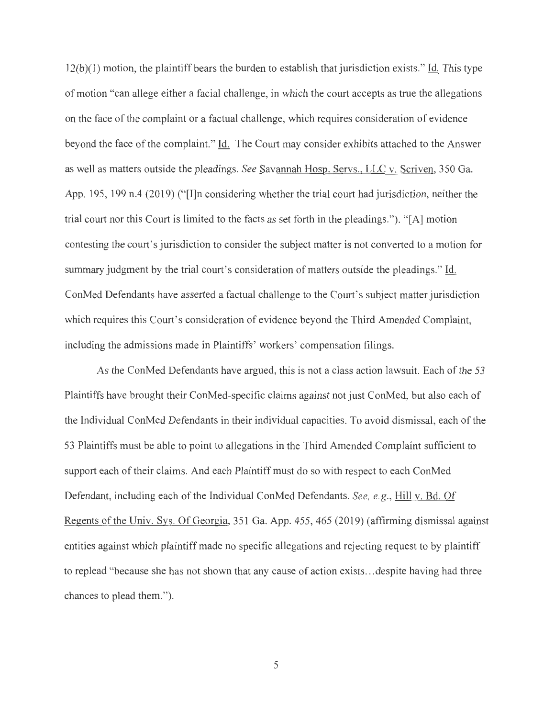$12(b)(1)$  motion, the plaintiff bears the burden to establish that jurisdiction exists." Id. This type of motion "can allege either a facial challenge, in which the court accepts as true the allegations on the face of the complaint or a factual challenge, which requires consideration of evidence beyond the face of the complaint." Id. The Court may consider exhibits attached to the Answer as well as matters outside the pleadings. *See* Savannah Hosp. Servs., LLC v. Scriven, 350 Ga. App. 195, 199 n.4 (2019) ("I]n considering whether the trial court had jurisdiction, neither the trial court nor this Court is limited to the facts as set forth in the pleadings."). " [A] motion contesting the court's jurisdiction to consider the subject matter is not converted to a motion for summary judgment by the trial court's consideration of matters outside the pleadings." Id. ConMed Defendants have asserted a factual challenge to the Court's subject matter jurisdiction which requires this Court's consideration of evidence beyond the Third Amended Complaint, including the admissions made in Plaintiffs' workers' compensation filings.

As the ConMed Defendants have argued, this is not a class action lawsuit. Each of the 53 Plaintiffs have brought their ConMed-specific claims against not just ConMed, but also each of the Individual ConMed Defendants in their individual capacities. To avoid dismissal, each of the 53 Plaintiffs must be able to point to allegations in the Third Amended Complaint sufficient to support each of their claims. And each Plaintiff must do so with respect to each ConMed Defendant, including each of the Individual ConMed Defendants. *See, e.g.,* Hill v. Bd. Of Regents of the Univ. Sys. Of Georgia, 351 Ga. App. 455, 465 (2019) (affirming dismissal against entities against which plaintiff made no specific allegations and rejecting request to by plaintiff to replead "because she has not shown that any cause of action exists ... despite having had three chances to plead them. ").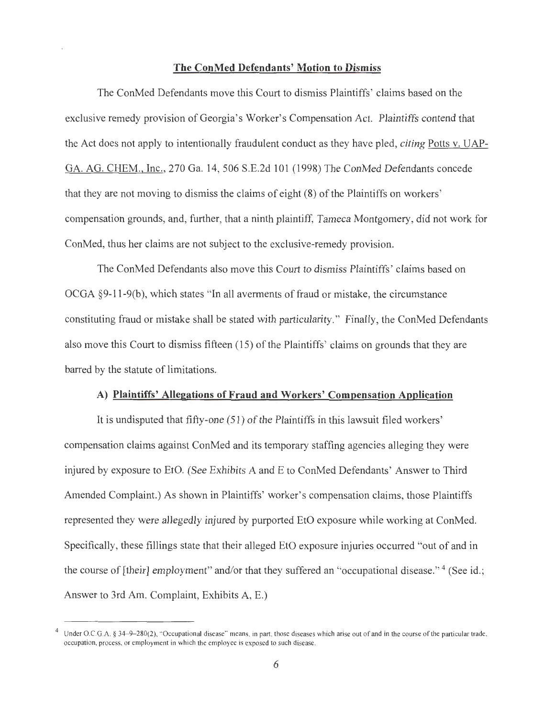# **The ConMed Defendants' Motion to Dismiss**

The ConMed Defendants move this Court to dismiss Plaintiffs' claims based on the exclusive remedy provision of Georgia's Worker's Compensation Act. Plaintiffs contend that the Act does not apply to intentionally fraudulent conduct as they have pied, *citing* Potts v. UAP-GA. AG. CHEM., Inc., 270 Ga. 14, 506 S.E.2d 101 (1998) The ConMed Defendants concede that they are not moving to dismiss the claims of eight (8) of the Plaintiffs on workers' compensation grounds, and, further, that a ninth plaintiff, Tameca Montgomery, did not work for ConMed, thus her claims are not subject to the exclusive-remedy provision.

The ConMed Defendants also move this Court to dismiss Plaintiffs' claims based on OCGA  $§9-11-9(b)$ , which states "In all averments of fraud or mistake, the circumstance constituting fraud or mistake shall be stated with particularity." Finally, the ConMed Defendants also move this Court to dismiss fifteen (15) of the Plaintiffs' claims on grounds that they are barred by the statute of limitations.

# **A) Plaintiffs' Allegations of Fraud and Workers' Compensation Application**

It is undisputed that fifty-one (51) of the Plaintiffs in this lawsuit filed workers' compensation claims against ConMed and its temporary staffing agencies alleging they were injured by exposure to EtO. (See Exhibits A and E to ConMed Defendants' Answer to Third Amended Complaint.) As shown in Plaintiffs' worker's compensation claims, those Plaintiffs represented they were allegedly injured by purported EtO exposure while working at ConMed. Specifically, these fillings state that their alleged EtO exposure injuries occurred "out of and in the course of [their] employment" and/or that they suffered an "occupational disease."<sup>4</sup> (See id.; Answer to 3rd Am. Complaint, Exhibits A, E.)

Under O.C.G.A. § 34-9-280(2), "Occupational disease" means, in part, those diseases which arise out of and in the course of the particular trade, occupation, process, or employment in which the employee is exposed to such disease.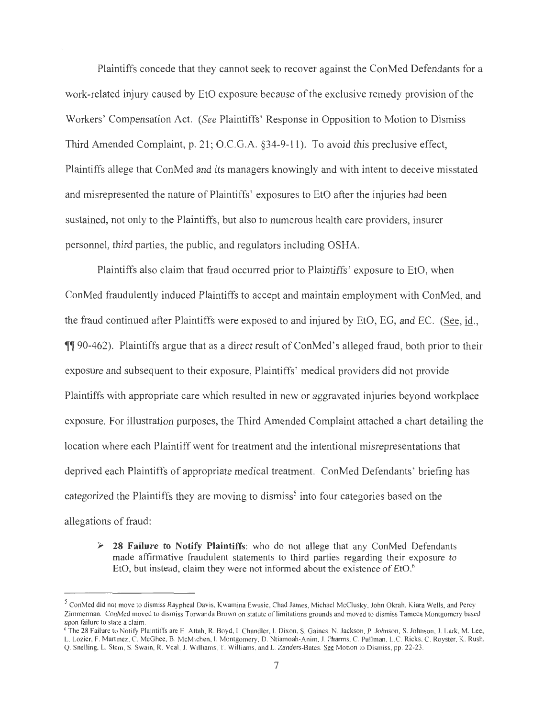Plaintiffs concede that they cannot seek to recover against the ConMed Defendants for a work-related injury caused by EtO exposure because of the exclusive remedy provision of the Workers' Compensation Act. *(See* Plaintiffs' Response in Opposition to Motion to Dismiss Third Amended Complaint, p. 21; O.C.G.A. §34-9-11). To avoid this preclusive effect, Plaintiffs allege that ConMed and its managers knowingly and with intent to deceive misstated and misrepresented the nature of Plaintiffs' exposures to EtO after the injuries had been sustained, not only to the Plaintiffs, but also to numerous health care providers, insurer personnel, third parties, the public, and regulators including OSHA.

Plaintiffs also claim that fraud occurred prior to Plaintiffs' exposure to EtO, when ConMed fraudulently induced Plaintiffs to accept and maintain employment with ConMed, and the fraud continued after Plaintiffs were exposed to and injured by EtO, EG, and EC. (See, id., 1190-462). Plaintiffs argue that as a direct result of ConMed's alleged fraud, both prior to their exposure and subsequent to their exposure, Plaintiffs' medical providers did not provide Plaintiffs with appropriate care which resulted in new or aggravated injuries beyond workplace exposure. For illustration purposes, the Third Amended Complaint attached a chart detailing the location where each Plaintiff went for treatment and the intentional misrepresentations that deprived each Plaintiffs of appropriate medical treatment. ConMed Defendants' briefing has categorized the Plaintiffs they are moving to dismiss<sup>5</sup> into four categories based on the allegations of fraud:

► **28 Failure to Notify Plaintiffs:** who do not allege that any ConMed Defendants made affirmative fraudulent statements to third parties regarding their exposure to EtO, but instead, claim they were not informed about the existence of EtO.<sup>6</sup>

<sup>&</sup>lt;sup>5</sup> ConMed did not move to dismiss Raypheal Davis, Kwamina Ewusie, Chad James, Michael McClusky, John Okrah, Kiara Wells, and Percy Zimmerman. ConMed moved to dismiss Torwanda Brown on statute of limitations grounds and moved to dismiss Tameca Montgomery based upon failure to state a claim.

<sup>&</sup>lt;sup>6</sup> The 28 Failure to Notify Plaintiffs are E. Attah, R. Boyd, I. Chandler, I. Dixon, S. Gaines, N. Jackson, P. Johnson, S. Johnson, J. Lark, M. Lee, L. Lozier, F. Martinez, C. McGhee, B. McMichen, I. Montgomery, D. Ntiamoah-Anim, J. Pharms, C. Pullman, L.C. Ricks, C. Royster, K. Rush, Q. Snelling, L. Stem, S. Swain, R. Veal, J. Williams, T. Williams, and L. Zanders-Bates. See Motion to Dismiss, pp. 22-23.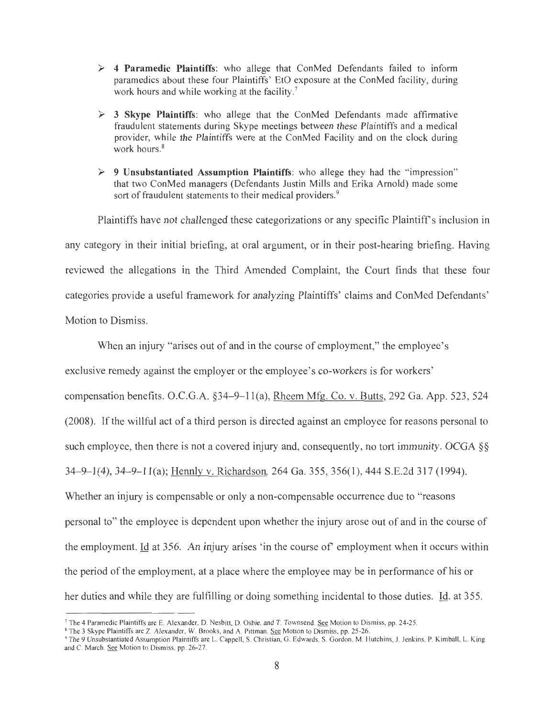- ► **4 Paramedic Plaintiffs:** who allege that ConMed Defendants failed to inform paramedics about these four Plaintiffs' EtO exposure at the ConMed facility, during work hours and while working at the facility.<sup>7</sup>
- ► **3 Skype Plaintiffs:** who allege that the ConMed Defendants made affirmative fraudulent statements during Skype meetings between these Plaintiffs and a medical provider, while the Plaintiffs were at the ConMed Facility and on the clock during work hours. 8
- ► **9 Unsubstantiated Assumption Plaintiffs:** who allege they had the " impression" that two ConMed managers (Defendants Justin Mills and Erika Arnold) made some sort of fraudulent statements to their medical providers.<sup>9</sup>

Plaintiffs have not challenged these categorizations or any specific Plaintiff's inclusion in any category in their initial briefing, at oral argument, or in their post-hearing briefing. Having reviewed the allegations in the Third Amended Complaint, the Court finds that these four categories provide a useful framework for analyzing Plaintiffs' claims and ConMed Defendants' Motion to Dismiss.

When an injury "arises out of and in the course of employment," the employee's exclusive remedy against the employer or the employee's co-workers is for workers' compensation benefits. O.C.G.A.  $\S$ 34-9-11(a), Rheem Mfg. Co. v. Butts, 292 Ga. App. 523, 524 (2008). If the willful act of a third person is directed against an employee for reasons personal to such employee, then there is not a covered injury and, consequently, no tort immunity. OCGA §§ 34-9-1(4), 34-9-11(a); Hennly v. Richardson, 264 Ga. 355, 356(1), 444 S.E.2d 317 (1994). Whether an injury is compensable or only a non-compensable occurrence due to "reasons personal to" the employee is dependent upon whether the injury arose out of and in the course of the employment. Id at 356. An injury arises 'in the course of employment when it occurs within the period of the employment, at a place where the employee may be in performance of his or her duties and while they are fulfilling or doing something incidental to those duties. Id. at 355.

<sup>7</sup>The 4 Paramedic Plaintiffs are E. Alexander, D. Nesbitt, D. Osbie, and T. Townsend . See Motion to Dismiss, pp. 24-25 .

<sup>8</sup>The 3 Skype Plaintiffs are Z. Alexander, W. Brooks, and A. Pittman. See Motion to Dismiss, pp. 25-26.

<sup>9</sup>The 9 Unsubstantiated Assumption Plaintiffs are L. Cappel! , S. Christian, G. Edwards, S. Gordon, M. Hutchins, J. Jenkins, P. Kimball , L. King and C. March. See Motion to Dismiss, pp. 26-27.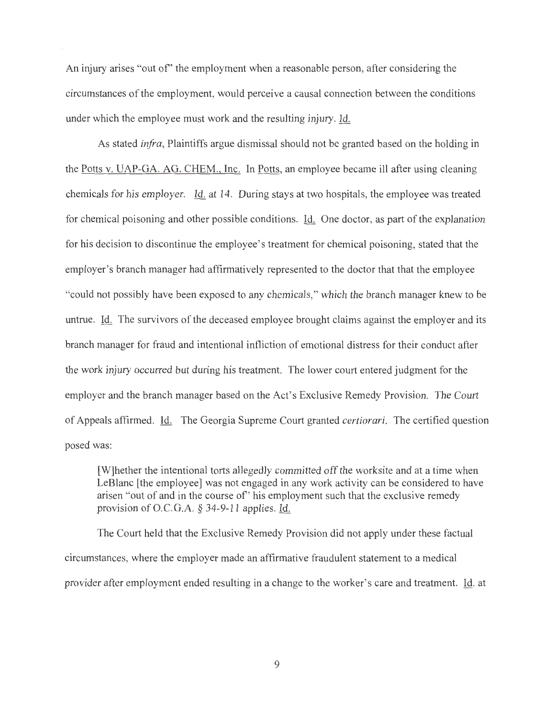An injury arises "out of' the employment when a reasonable person, after considering the circumstances of the employment, would perceive a causal connection between the conditions under which the employee must work and the resulting injury. Id.

As stated *infra,* Plaintiffs argue dismissal should not be granted based on the holding in the <u>Potts v. UAP-GA. AG. CHEM., Inc.</u> In <u>Potts</u>, an employee became ill after using cleaning chemicals for his employer.  $\underline{Id}$  at 14. During stays at two hospitals, the employee was treated for chemical poisoning and other possible conditions.  $\underline{Id}$ . One doctor, as part of the explanation for his decision to discontinue the employee's treatment for chemical poisoning, stated that the employer's branch manager had affirmatively represented to the doctor that that the employee "could not possibly have been exposed to any chemicals," which the branch manager knew to be untrue. Id. The survivors of the deceased employee brought claims against the employer and its branch manager for fraud and intentional infliction of emotional distress for their conduct after the work injury occurred but during his treatment. The lower court entered judgment for the employer and the branch manager based on the Act's Exclusive Remedy Provision. The Court of Appeals affirmed. Id. The Georgia Supreme Court granted *certiorari.* The certified question posed was:

[W]hether the intentional torts allegedly committed off the worksite and at a time when LeBlanc [the employee] was not engaged in any work activity can be considered to have arisen "out of and in the course of' his employment such that the exclusive remedy provision of O.C.G.A. § 34-9-11 applies. Id.

The Court held that the Exclusive Remedy Provision did not apply under these factual circumstances, where the employer made an affirmative fraudulent statement to a medical provider after employment ended resulting in a change to the worker's care and treatment. Id. at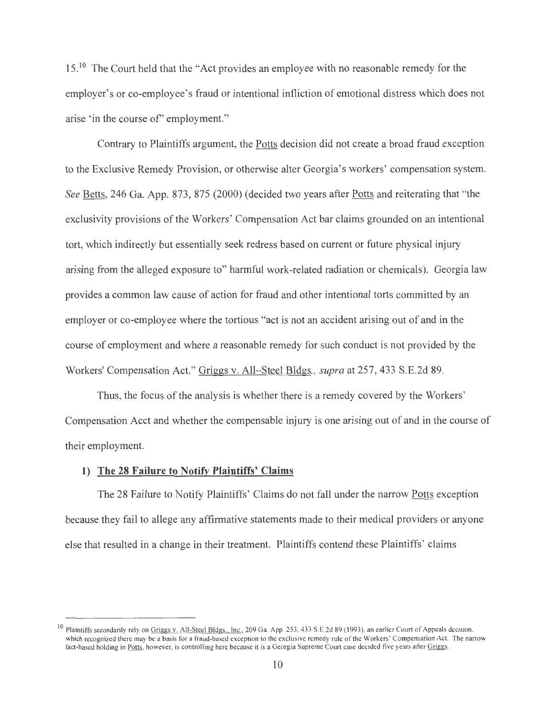15.<sup>10</sup> The Court held that the "Act provides an employee with no reasonable remedy for the employer's or co-employee's fraud or intentional infliction of emotional distress which does not arise 'in the course of'' employment."

Contrary to Plaintiffs argument, the Potts decision did not create a broad fraud exception to the Exclusive Remedy Provision, or otherwise alter Georgia's workers' compensation system. *See* Betts, 246 Ga. App. 873, 875 (2000) (decided two years after Potts and reiterating that "the exclusivity provisions of the Workers' Compensation Act bar claims grounded on an intentional tort, which indirectly but essentially seek redress based on current or future physical injury arising from the alleged exposure to" harmful work-related radiation or chemicals). Georgia law provides a common law cause of action for fraud and other intentional torts committed by an employer or co-employee where the tortious "act is not an accident arising out of and in the course of employment and where a reasonable remedy for such conduct is not provided by the Workers' Compensation Act." Griggs v. All- Steel Bldgs., *supra* at 257, 433 S.E.2d 89.

Thus, the focus of the analysis is whether there is a remedy covered by the Workers' Compensation Acct and whether the compensable injury is one arising out of and in the course of their employment.

# **1) The 28 Failure to Notify Plaintiffs' Claims**

The 28 Failure to Notify Plaintiffs' Claims do not fall under the narrow Potts exception because they fail to allege any affirmative statements made to their medical providers or anyone else that resulted in a change in their treatment. Plaintiffs contend these Plaintiffs' claims

<sup>&</sup>lt;sup>10</sup> Plaintiffs secondarily rely on Griggs v. All-Steel Bldgs., Inc., 209 Ga. App. 253, 433 S.E.2d 89 (1993), an earlier Court of Appeals decision, which recognized there may be a basis for a fraud-based exception to the exclusive remedy rule of the Workers' Compensation Act. The narrow fact-based holding in Potts, however, is controlling here because it is a Georgia Supreme Court case decided five years after Griggs.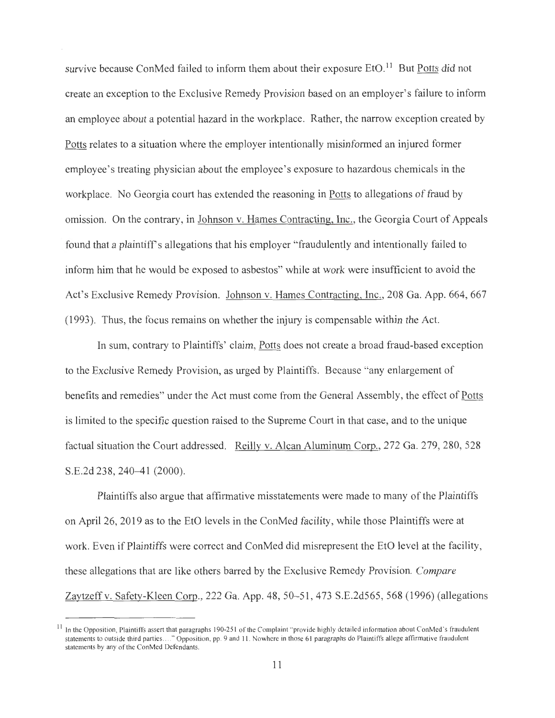survive because ConMed failed to inform them about their exposure EtO.<sup>11</sup> But Potts did not create an exception to the Exclusive Remedy Provision based on an employer's failure to inform an employee about a potential hazard in the workplace. Rather, the narrow exception created by Potts relates to a situation where the employer intentionally misinformed an injured former employee's treating physician about the employee's exposure to hazardous chemicals in the workplace. No Georgia court has extended the reasoning in Potts to allegations of fraud by omission. On the contrary, in Johnson v. Hames Contracting, Inc., the Georgia Court of Appeals found that a plaintiff's allegations that his employer "fraudulently and intentionally failed to inform him that he would be exposed to asbestos" while at work were insufficient to avoid the Act's Exclusive Remedy Provision. Johnson v. Hames Contracting, Inc., 208 Ga. App. 664, 667 (1993). Thus, the focus remains on whether the injury is compensable within the Act.

In sum, contrary to Plaintiffs' claim, Potts does not create a broad fraud-based exception to the Exclusive Remedy Provision, as urged by Plaintiffs. Because "any enlargement of benefits and remedies" under the Act must come from the General Assembly, the effect of Potts is limited to the specific question raised to the Supreme Court in that case, and to the unique factual situation the Court addressed. Reilly v. Alcan Aluminum Corp., 272 Ga. 279, 280, 528 S.E.2d 238, 240-41 (2000).

Plaintiffs also argue that affirmative misstatements were made to many of the Plaintiffs on April 26, 2019 as to the EtO levels in the ConMed facility, while those Plaintiffs were at work. Even if Plaintiffs were correct and ConMed did misrepresent the EtO level at the facility, these allegations that are like others barred by the Exclusive Remedy Provision. *Compare*  Zaytzeff v. Safety-Kleen Corp., 222 Ga. App. 48, 50–51, 473 S.E.2d565, 568 (1996) (allegations

In the Opposition, Plaintiffs assert that paragraphs 190-251 of the Complaint "provide highly detailed information about ConMed's fraudulent statements to outside third parties ...." Opposition, pp. 9 and 11. Nowhere in those 61 paragraphs do Plaintiffs allege affirmative fraudulent statements by any of the ConMed Defendants.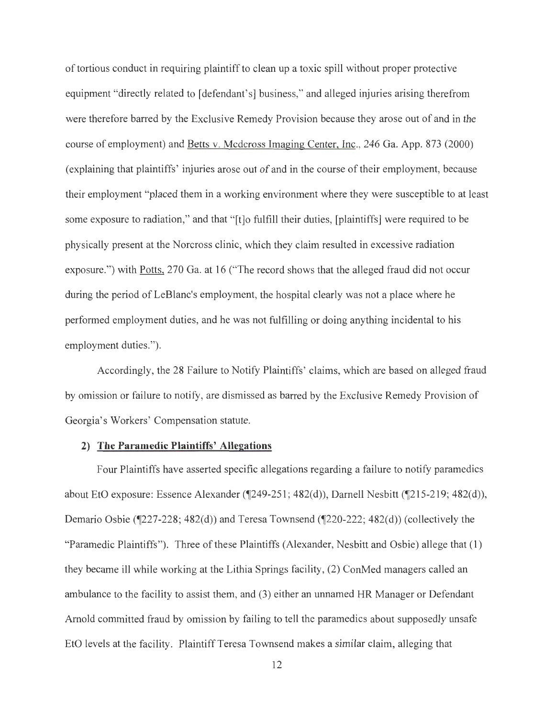of tortious conduct in requiring plaintiff to clean up a toxic spill without proper protective equipment "directly related to [defendant's] business," and alleged injuries arising therefrom were therefore barred by the Exclusive Remedy Provision because they arose out of and in the course of employment) and Betts v. Medcross Imaging Center, Inc., 246 Ga. App. 873 (2000) ( explaining that plaintiffs' injuries arose out of and in the course of their employment, because their employment "placed them in a working environment where they were susceptible to at least some exposure to radiation," and that "[t]o fulfill their duties, [plaintiffs] were required to be physically present at the Norcross clinic, which they claim resulted in excessive radiation exposure.") with Potts, 270 Ga. at 16 ("The record shows that the alleged fraud did not occur during the period of LeBlanc's employment, the hospital clearly was not a place where he performed employment duties, and he was not fulfilling or doing anything incidental to his employment duties.").

Accordingly, the 28 Failure to Notify Plaintiffs' claims, which are based on alleged fraud by omission or failure to notify, are dismissed as barred by the Exclusive Remedy Provision of Georgia's Workers' Compensation statute.

# **2) The Paramedic Plaintiffs' Allegations**

Four Plaintiffs have asserted specific allegations regarding a failure to notify paramedics about EtO exposure: Essence Alexander (¶249-251; 482(d)), Darnell Nesbitt (¶215-219; 482(d)), Demario Osbie (¶227-228; 482(d)) and Teresa Townsend (¶220-222; 482(d)) (collectively the "Paramedic Plaintiffs"). Three of these Plaintiffs (Alexander, Nesbitt and Osbie) allege that (1) they became ill while working at the Lithia Springs facility, (2) ConMed managers called an ambulance to the facility to assist them, and (3) either an unnamed HR Manager or Defendant Arnold committed fraud by omission by failing to tell the paramedics about supposedly unsafe EtO levels at the facility. Plaintiff Teresa Townsend makes a similar claim, alleging that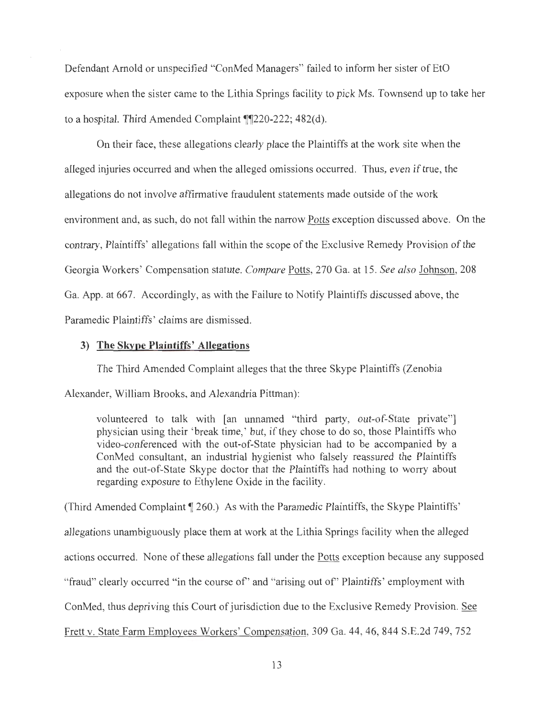Defendant Arnold or unspecified "ConMed Managers" failed to inform her sister of EtO exposure when the sister came to the Lithia Springs facility to pick Ms. Townsend up to take her to a hospital. Third Amended Complaint  $\P$ [220-222; 482(d).

On their face, these allegations clearly place the Plaintiffs at the work site when the alleged injuries occurred and when the alleged omissions occurred. Thus, even if true, the allegations do not involve affirmative fraudulent statements made outside of the work environment and, as such, do not fall within the narrow Potts exception discussed above. On the contrary, Plaintiffs' allegations fall within the scope of the Exclusive Remedy Provision of the Georgia Workers' Compensation statute. *Compare* Potts, 270 Ga. at 15. *See also* Johnson, 208 Ga. App. at 667. Accordingly, as with the Failure to Notify Plaintiffs discussed above, the Paramedic Plaintiffs' claims are dismissed.

## **3) The Skype Plaintiffs' Allegations**

The Third Amended Complaint alleges that the three Skype Plaintiffs (Zenobia Alexander, William Brooks, and Alexandria Pittman):

volunteered to talk with [an unnamed "third party, out-of-State private"] physician using their 'break time,' but, if they chose to do so, those Plaintiffs who video-conferenced with the out-of-State physician had to be accompanied by a ConMed consultant, an industrial hygienist who falsely reassured the Plaintiffs and the out-of-State Skype doctor that the Plaintiffs had nothing to worry about regarding exposure to Ethylene Oxide in the facility .

(Third Amended Complaint **1** 260.) As with the Paramedic Plaintiffs, the Skype Plaintiffs' allegations unambiguously place them at work at the Lithia Springs facility when the alleged actions occurred. None of these allegations fall under the Potts exception because any supposed "fraud" clearly occurred "in the course of' and "arising out of' Plaintiffs' employment with ConMed, thus depriving this Court of jurisdiction due to the Exclusive Remedy Provision. See Frett v. State Farm Employees Workers' Compensation, 309 Ga. 44, 46, 844 S.E.2d 749, 752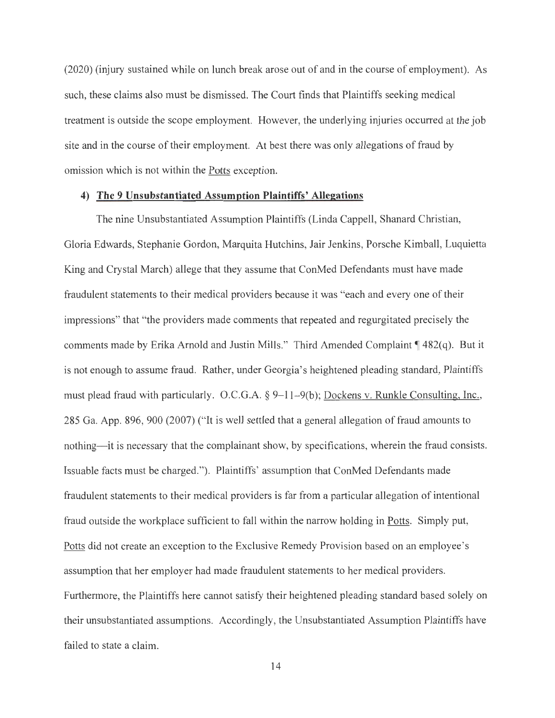(2020) (injury sustained while on lunch break arose out of and in the course of employment). As such, these claims also must be dismissed. The Court finds that Plaintiffs seeking medical treatment is outside the scope employment. However, the underlying injuries occurred at the job site and in the course of their employment. At best there was only allegations of fraud by omission which is not within the Potts exception.

# **4) The 9 Unsubstantiated Assumption Plaintiffs' Allegations**

The nine Unsubstantiated Assumption Plaintiffs (Linda Cappell, Shanard Christian, Gloria Edwards, Stephanie Gordon, Marquita Hutchins, Jair Jenkins, Porsche Kimball, Luquietta King and Crystal March) allege that they assume that ConMed Defendants must have made fraudulent statements to their medical providers because it was "each and every one of their impressions" that "the providers made comments that repeated and regurgitated precisely the comments made by Erika Arnold and Justin Mills." Third Amended Complaint **[482(q)**. But it is not enough to assume fraud. Rather, under Georgia's heightened pleading standard, Plaintiffs must plead fraud with particularly. O.C.G.A. § 9–11–9(b); Dockens v. Runkle Consulting, Inc., 285 Ga. App. 896, 900 (2007) ("It is well settled that a general allegation of fraud amounts to nothing-it is necessary that the complainant show, by specifications, wherein the fraud consists. Issuable facts must be charged."). Plaintiffs' assumption that ConMed Defendants made fraudulent statements to their medical providers is far from a particular allegation of intentional fraud outside the workplace sufficient to fall within the narrow holding in Potts. Simply put, Potts did not create an exception to the Exclusive Remedy Provision based on an employee's assumption that her employer had made fraudulent statements to her medical providers. Furthermore, the Plaintiffs here cannot satisfy their heightened pleading standard based solely on their unsubstantiated assumptions. Accordingly, the Unsubstantiated Assumption Plaintiffs have failed to state a claim.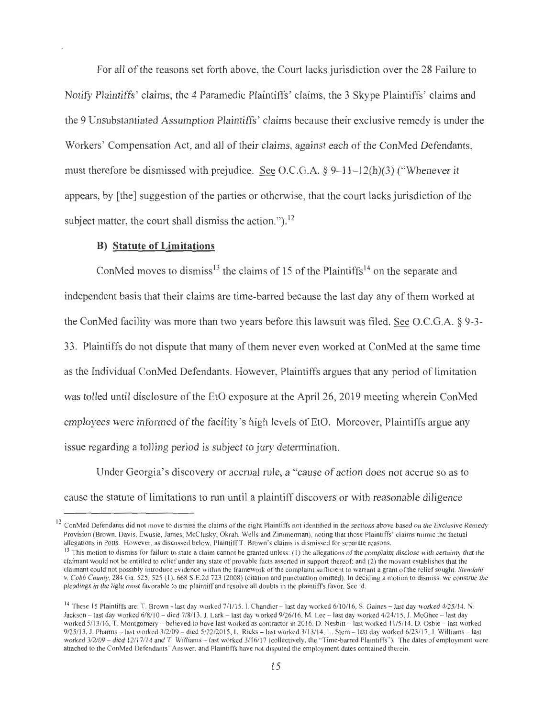For all of the reasons set forth above, the Court lacks jurisdiction over the 28 Failure to Notify Plaintiffs' claims, the 4 Paramedic Plaintiffs' claims, the 3 Skype Plaintiffs' claims and the 9 Unsubstantiated Assumption Plaintiffs' claims because their exclusive remedy is under the Workers' Compensation Act, and all of their claims, against each of the ConMed Defendants, must therefore be dismissed with prejudice. <u>See</u> O.C.G.A.  $\S 9-11-12(h)(3)$  ("Whenever it appears, by [the] suggestion of the parties or otherwise, that the court lacks jurisdiction of the subject matter, the court shall dismiss the action.").<sup>12</sup>

# **B) Statute of Limitations**

ConMed moves to dismiss<sup>13</sup> the claims of 15 of the Plaintiffs<sup>14</sup> on the separate and independent basis that their claims are time-barred because the last day any of them worked at the ConMed facility was more than two years before this lawsuit was filed. See O.C.G.A.  $\S$  9-3-33. Plaintiffs do not dispute that many of them never even worked at ConMed at the same time as the Individual ConMed Defendants. However, Plaintiffs argues that any period of limitation was tolled until disclosure of the EtO exposure at the April 26, 2019 meeting wherein ConMed employees were informed of the facility 's high levels of EtO. Moreover, Plaintiffs argue any issue regarding a tolling period is subject to jury determination.

Under Georgia's discovery or accrual rule, a "cause of action does not accrue so as to cause the statute of limitations to run until a plaintiff discovers or with reasonable diligence

 $12$  ConMed Defendants did not move to dismiss the claims of the eight Plaintiffs not identified in the sections above based on the Exclusive Remedy Provision (Brown, Davis, Ewusie, James, McClusky, Okrah, Wells and Zimmerman), noting that those Plaintiffs' claims mimic the factual allegations in <u>Potts</u>. However, as discussed below, Plaintiff T. Brown's claims is dismissed for separate reasons.<br><sup>13</sup> This motion to dismiss for failure to state a claim cannot be granted unless: (1) the allegations of

claimant would not be entitled to relief under any state of provable facts asserted in support thereof; and (2) the movant establishes that the claimant could not possibly introduce evidence within the framework of the complaint sufficient to warrant a grant of the relief sought. *Stendahl v. Cobb County,* 284 Ga. 525, 525 (I ), 668 S.E.2d 723 (2008) (citation and punctuation omitted). In deciding a motion to dismiss, we construe the pleadings in the light most favorable to the plaintiff and resolve all doubts in the plaintiff's favor. See id.

<sup>&</sup>lt;sup>14</sup> These 15 Plaintiffs are: T. Brown - last day worked  $7/1/15$ . I. Chandler - last day worked  $6/10/16$ , S. Gaines - last day worked  $4/25/14$ . N. Jackson - last day worked 6/8/10 - died 7/8/13, J. Lark - last day worked 9/26/16, M. Lee - last day worked 4/24/15, J. McGhee - last day worked 5/13/16, T. Montgomery - believed to have last worked as contractor in 2016, D. Nesbitt - last worked 11/5/14, D. Osbie - last worked 9/25/13, J. Pharms - last worked 3/2/09 - died 5/22/2015, L. Ricks - last worked 3/13/14, L. Stem - last day worked 6/23/17, J. Williams - last worked 3/2/09 - died 12/17/14 and T. Williams - last worked 3/16/17 (collectively, the "Time-barred Plaintiffs"). The dates of employment were attached to the ConMed Defendants' Answer, and Plaintiffs have not disputed the employment dates contained therein.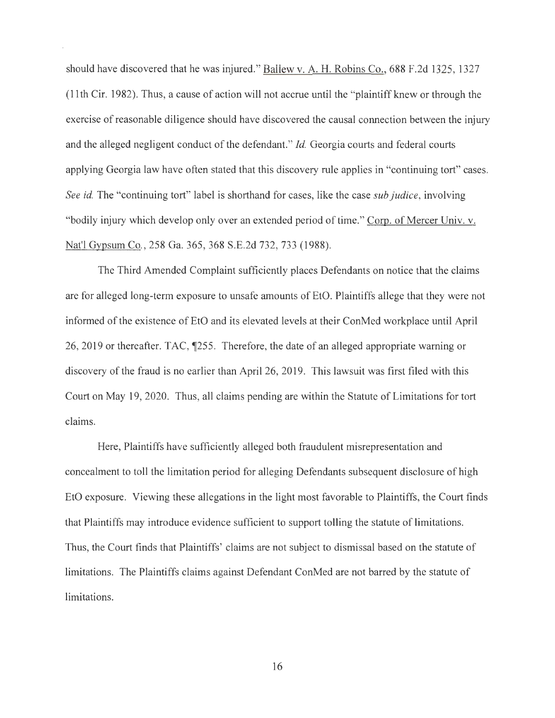should have discovered that he was injured." Ballew v. A.H. Robins Co., 688 F.2d 1325, 1327 (11th Cir. 1982). Thus, a cause of action will not accrue until the "plaintiff knew or through the exercise of reasonable diligence should have discovered the causal connection between the injury and the alleged negligent conduct of the defendant." *Id.* Georgia courts and federal courts applying Georgia law have often stated that this discovery rule applies in "continuing tort" cases. *See id.* The "continuing tort" label is shorthand for cases, like the case *sub Judice,* involving "bodily injury which develop only over an extended period of time." Corp. of Mercer Univ. v. Nat'! Gypsum Co., 258 Ga. 365, 368 S.E.2d 732, 733 (1988).

The Third Amended Complaint sufficiently places Defendants on notice that the claims are for alleged long-term exposure to unsafe amounts of EtO. Plaintiffs allege that they were not informed of the existence of EtO and its elevated levels at their ConMed workplace until April 26, 2019 or thereafter. TAC,  $\sqrt{255}$ . Therefore, the date of an alleged appropriate warning or discovery of the fraud is no earlier than April 26, 2019. This lawsuit was first filed with this Court on May 19, 2020. Thus, all claims pending are within the Statute of Limitations for tort claims.

Here, Plaintiffs have sufficiently alleged both fraudulent misrepresentation and concealment to toll the limitation period for alleging Defendants subsequent disclosure of high EtO exposure. Viewing these allegations in the light most favorable to Plaintiffs, the Court finds that Plaintiffs may introduce evidence sufficient to support tolling the statute of limitations. Thus, the Court finds that Plaintiffs' claims are not subject to dismissal based on the statute of limitations. The Plaintiffs claims against Defendant ConMed are not barred by the statute of limitations.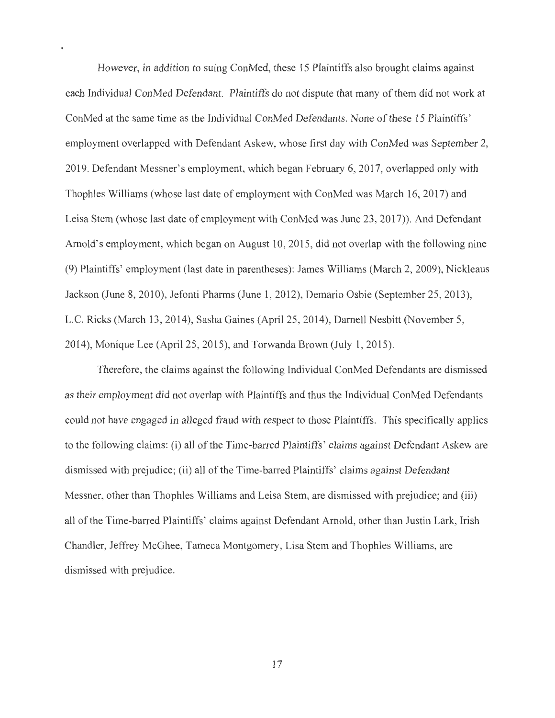However, in addition to suing ConMed, these 15 Plaintiffs also brought claims against each Individual ConMed Defendant. Plaintiffs do not dispute that many of them did not work at ConMed at the same time as the Individual ConMed Defendants. None of these 15 Plaintiffs' employment overlapped with Defendant Askew, whose first day with ConMed was September 2, 2019. Defendant Messner's employment, which began February 6, 2017, overlapped only with Thophles Williams (whose last date of employment with ConMed was March 16, 2017) and Leisa Stem (whose last date of employment with ConMed was June 23, 2017)). And Defendant Arnold's employment, which began on August 10, 2015, did not overlap with the following nine (9) Plaintiffs' employment (last date in parentheses): James Williams (March 2, 2009), Nickleaus Jackson (June 8, 2010), Jefonti Pharms (June 1, 2012), Demario Osbie (September 25, 2013), L.C. Ricks (March 13, 2014), Sasha Gaines (April 25, 2014), Darnell Nesbitt (November 5, 2014), Monique Lee (April 25, 2015), and Torwanda Brown (July 1, 2015).

Therefore, the claims against the following Individual ConMed Defendants are dismissed as their employment did not overlap with Plaintiffs and thus the Individual ConMed Defendants could not have engaged in alleged fraud with respect to those Plaintiffs. This specifically applies to the following claims: (i) all of the Time-barred Plaintiffs' claims against Defendant Askew are dismissed with prejudice; (ii) all of the Time-barred Plaintiffs' claims against Defendant Messner, other than Thophles Williams and Leisa Stem, are dismissed with prejudice; and (iii) all of the Time-barred Plaintiffs' claims against Defendant Arnold, other than Justin Lark, Irish Chandler, Jeffrey McGhee, Tameca Montgomery, Lisa Stem and Thophles Williams, are dismissed with prejudice.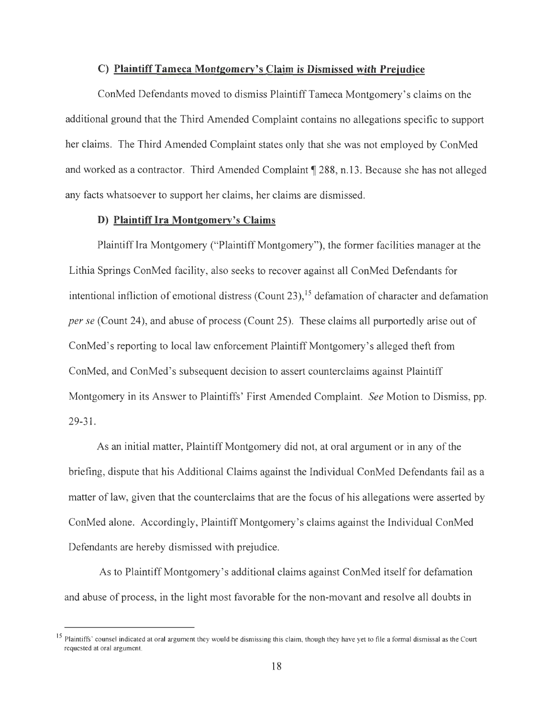#### **C) Plaintiff Tameca Montgomery's Claim is Dismissed with Prejudice**

ConMed Defendants moved to dismiss Plaintiff Tameca Montgomery's claims on the additional ground that the Third Amended Complaint contains no allegations specific to support her claims. The Third Amended Complaint states only that she was not employed by ConMed and worked as a contractor. Third Amended Complaint **1288,** n.13. Because she has not alleged any facts whatsoever to support her claims, her claims are dismissed.

### **D) Plaintiff Ira Montgomery's Claims**

Plaintiff Ira Montgomery ("Plaintiff Montgomery"), the former facilities manager at the Lithia Springs ConMed facility, also seeks to recover against all ConMed Defendants for intentional infliction of emotional distress (Count 23),  $15$  defamation of character and defamation *per se* (Count 24), and abuse of process (Count 25). These claims all purportedly arise out of ConMed's reporting to local law enforcement Plaintiff Montgomery's alleged theft from ConMed, and ConMed's subsequent decision to assert counterclaims against Plaintiff Montgomery in its Answer to Plaintiffs' First Amended Complaint. *See* Motion to Dismiss, pp. 29-31.

As an initial matter, Plaintiff Montgomery did not, at oral argument or in any of the briefing, dispute that his Additional Claims against the Individual ConMed Defendants fail as a matter of law, given that the counterclaims that are the focus of his allegations were asserted by ConMed alone. Accordingly, Plaintiff Montgomery's claims against the Individual ConMed Defendants are hereby dismissed with prejudice.

As to Plaintiff Montgomery's additional claims against ConMed itself for defamation and abuse of process, in the light most favorable for the non-movant and resolve all doubts in

 $15$  Plaintiffs' counsel indicated at oral argument they would be dismissing this claim, though they have yet to file a formal dismissal as the Court requested at oral argument.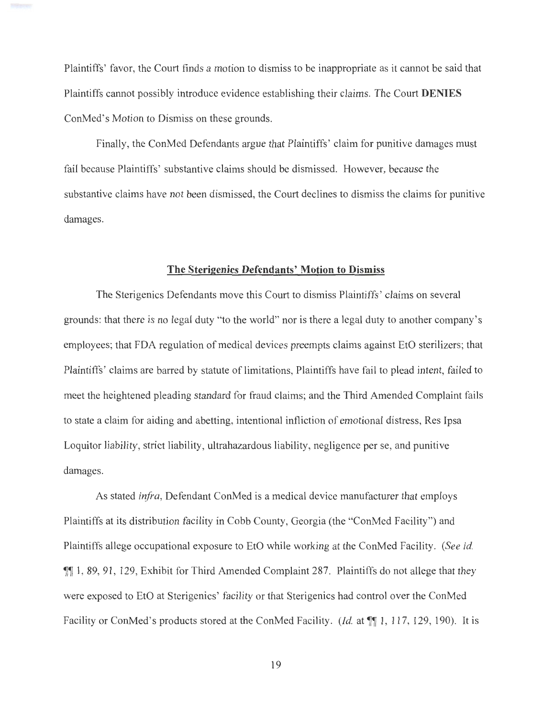Plaintiffs' favor, the Court finds a motion to dismiss to be inappropriate as it cannot be said that Plaintiffs cannot possibly introduce evidence establishing their claims. The Court **DENIES**  ConMed's Motion to Dismiss on these grounds.

Finally, the ConMed Defendants argue that Plaintiffs' claim for punitive damages must fail because Plaintiffs' substantive claims should be dismissed. However, because the substantive claims have not been dismissed, the Court declines to dismiss the claims for punitive damages.

#### **The Sterigenics Defendants' Motion to Dismiss**

The Sterigenics Defendants move this Court to dismiss Plaintiffs' claims on several grounds: that there is no legal duty "to the world" nor is there a legal duty to another company's employees; that FDA regulation of medical devices preempts claims against EtO sterilizers; that Plaintiffs' claims are barred by statute of limitations, Plaintiffs have fail to plead intent, failed to meet the heightened pleading standard for fraud claims; and the Third Amended Complaint fails to state a claim for aiding and abetting, intentional infliction of emotional distress, Res Ipsa Loquitor liability, strict liability, ultrahazardous liability, negligence per se, and punitive damages.

As stated *infra,* Defendant ConMed is a medical device manufacturer that employs Plaintiffs at its distribution facility in Cobb County, Georgia (the "ConMed Facility") and Plaintiffs allege occupational exposure to EtO while working at the ConMed Facility. *(See id.*  1, 89, 91, 129, Exhibit for Third Amended Complaint 287. Plaintiffs do not allege that they were exposed to EtO at Sterigenics' facility or that Sterigenics had control over the ConMed Facility or ConMed's products stored at the ConMed Facility. *(Id.* at  $\P$ [1, 117, 129, 190). It is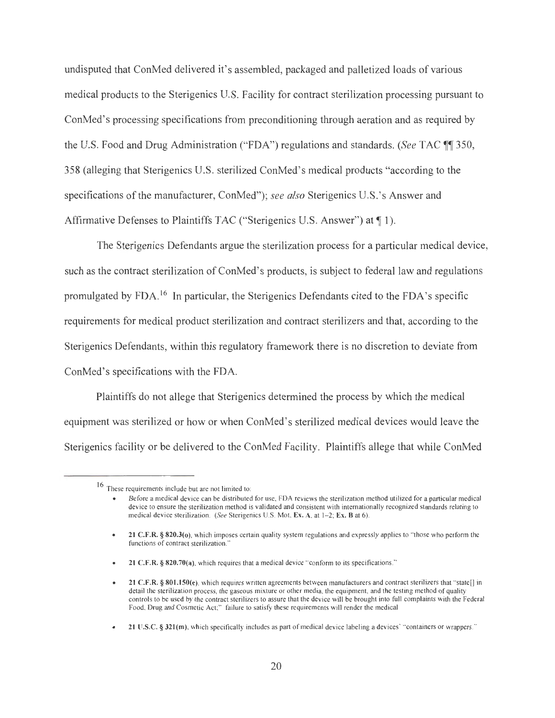undisputed that ConMed delivered it's assembled, packaged and palletized loads of various medical products to the Sterigenics U.S. Facility for contract sterilization processing pursuant to ConMed's processing specifications from preconditioning through aeration and as required by the U.S. Food and Drug Administration ("FDA") regulations and standards. *(See TAC* \[\] 350, 358 (alleging that Sterigenics U.S. sterilized ConMed's medical products "according to the specifications of the manufacturer, ConMed"); *see also* Sterigenics U.S.'s Answer and Affirmative Defenses to Plaintiffs TAC ("Sterigenics U.S. Answer") at  $\P$  1).

The Sterigenics Defendants argue the sterilization process for a particular medical device, such as the contract sterilization of ConMed's products, is subject to federal law and regulations promulgated by FDA. 16 In particular, the Sterigenics Defendants cited to the FDA's specific requirements for medical product sterilization and contract sterilizers and that, according to the Sterigenics Defendants, within this regulatory framework there is no discretion to deviate from ConMed's specifications with the FDA.

Plaintiffs do not allege that Sterigenics determined the process by which the medical equipment was sterilized or how or when ConMed's sterilized medical devices would leave the Sterigenics facility or be delivered to the ConMed Facility. Plaintiffs allege that while ConMed

21 C.F.R. § 820.70(a), which requires that a medical device "conform to its specifications."

<sup>16</sup> These requirements include but are not limited to:

Before a medical device can be distributed for use, FDA reviews the sterilization method utilized for a particular medical device to ensure the sterilization method is validated and consistent with internationally recognized standards relating to medical device sterilization. (See Sterigenics U.S. Mot, Ex. A, at 1-2; Ex. B at 6).

<sup>•</sup> **21 C.F.R. § 820.3(o)**, which imposes certain quality system regulations and expressly applies to "those who perform the functions of contract sterilization."

<sup>21</sup> C.F.R. § 801.150(e), which requires written agreements between manufacturers and contract sterilizers that "state[] in detail the sterilization process, the gaseous mixture or other media, the equipment, and the testing method of quality controls to be used by the contract sterilizers to assure that the device will be brought into full complaints with the Federal Food, Drug and Cosmetic Act;" failure to satisfy these requirements will render the medical

<sup>•</sup> **21 U.S.C.** § **321(m),** which specifically includes as part of medical device labeling a devices' "containers or wrappers."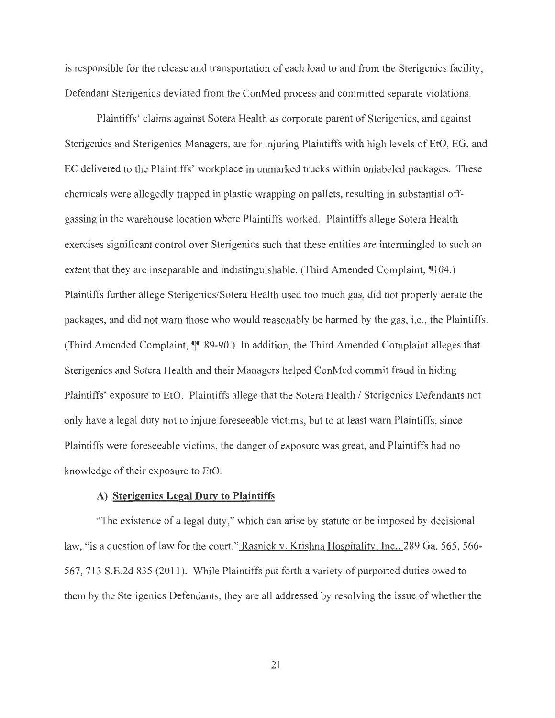is responsible for the release and transportation of each load to and from the Sterigenics facility, Defendant Sterigenics deviated from the ConMed process and committed separate violations.

Plaintiffs' claims against Sotera Health as corporate parent of Sterigenics, and against Sterigenics and Sterigenics Managers, are for injuring Plaintiffs with high levels of EtO, EG, and EC delivered to the Plaintiffs' workplace in unmarked trucks within unlabeled packages. These chemicals were allegedly trapped in plastic wrapping on pallets, resulting in substantial offgassing in the warehouse location where Plaintiffs worked. Plaintiffs allege Sotera Health exercises significant control over Sterigenics such that these entities are intermingled to such an extent that they are inseparable and indistinguishable. (Third Amended Complaint, 104.) Plaintiffs further allege Sterigenics/Sotera Health used too much gas, did not properly aerate the packages, and did not warn those who would reasonably be harmed by the gas, i.e., the Plaintiffs. (Third Amended Complaint,  $\P$  89-90.) In addition, the Third Amended Complaint alleges that Sterigenics and Sotera Health and their Managers helped ConMed commit fraud in hiding Plaintiffs' exposure to EtO. Plaintiffs allege that the Sotera Health / Sterigenics Defendants not only have a legal duty not to injure foreseeable victims, but to at least warn Plaintiffs, since Plaintiffs were foreseeable victims, the danger of exposure was great, and Plaintiffs had no knowledge of their exposure to EtO.

## **A) Sterigenics Legal Duty to Plaintiffs**

"The existence of a legal duty," which can arise by statute or be imposed by decisional law, "is a question of law for the court." Rasnick v. Krishna Hospitality, Inc., 289 Ga. 565, 566-567, 713 S.E.2d 835 (2011). While Plaintiffs put forth a variety of purported duties owed to them by the Sterigenics Defendants, they are all addressed by resolving the issue of whether the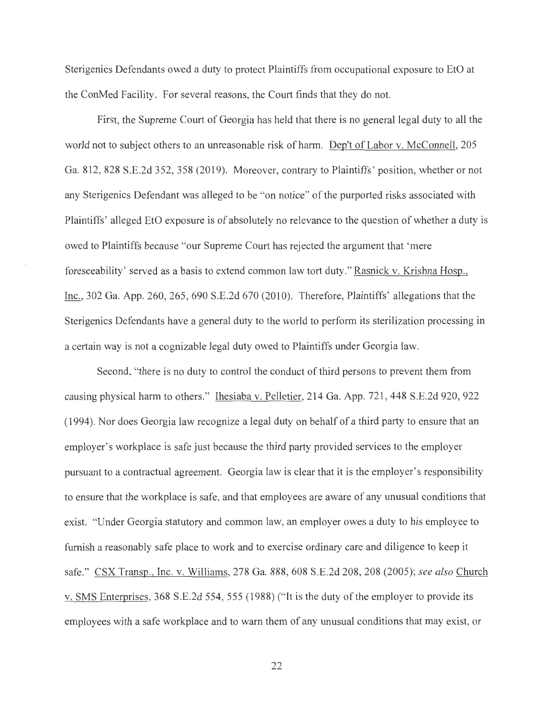Sterigenics Defendants owed a duty to protect Plaintiffs from occupational exposure to EtO at the ConMed Facility. For several reasons, the Court finds that they do not.

First, the Supreme Court of Georgia has held that there is no general legal duty to all the world not to subject others to an unreasonable risk of harm. Dep't of Labor v. McConnell, 205 Ga. 812, 828 S.E.2d 352, 358 (2019). Moreover, contrary to Plaintiffs' position, whether or not any Sterigenics Defendant was alleged to be "on notice" of the purported risks associated with Plaintiffs' alleged EtO exposure is of absolutely no relevance to the question of whether a duty is owed to Plaintiffs because "our Supreme Court has rejected the argument that 'mere foreseeability' served as a basis to extend common law tort duty." Rasnick v. Krishna Hosp., Inc., 302 Ga. App. 260, 265, 690 S.E.2d 670 (2010). Therefore, Plaintiffs' allegations that the Sterigenics Defendants have a general duty to the world to perform its sterilization processing in a certain way is not a cognizable legal duty owed to Plaintiffs under Georgia law.

Second, "there is no duty to control the conduct of third persons to prevent them from causing physical harm to others." Ihesiaba v. Pelletier, 214 Ga. App. 721,448 S.E.2d 920, 922 (1994). Nor does Georgia law recognize a legal duty on behalf of a third party to ensure that an employer's workplace is safe just because the third party provided services to the employer pursuant to a contractual agreement. Georgia law is clear that it is the employer's responsibility to ensure that the workplace is safe, and that employees are aware of any unusual conditions that exist. "Under Georgia statutory and common law, an employer owes a duty to his employee to furnish a reasonably safe place to work and to exercise ordinary care and diligence to keep it safe." CSX Transp., Inc. v. Williams, 278 Ga. 888, 608 S.E.2d 208, 208 (2005); *see also* Church v. SMS Enterprises, 368 S.E.2d 554, 555 (1988) ("It is the duty of the employer to provide its employees with a safe workplace and to warn them of any unusual conditions that may exist, or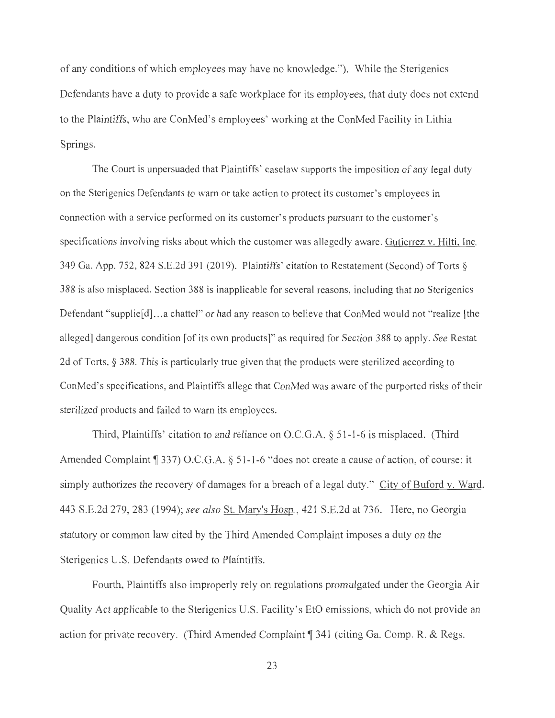of any conditions of which employees may have no knowledge. "). While the Sterigenics Defendants have a duty to provide a safe workplace for its employees, that duty does not extend to the Plaintiffs, who are ConMed's employees' working at the ConMed Facility in Lithia Springs.

The Court is unpersuaded that Plaintiffs' caselaw supports the imposition of any legal duty on the Sterigenics Defendants to warn or take action to protect its customer's employees in connection with a service performed on its customer's products pursuant to the customer's specifications involving risks about which the customer was allegedly aware. Gutierrez v. Hilti, Inc. 349 Ga. App. 752, 824 S.E.2d 391 (2019). Plaintiffs' citation to Restatement (Second) of Torts§ 388 is also misplaced. Section 388 is inapplicable for several reasons, including that no Sterigenics Defendant "supplie<sup>[d]</sup>... a chattel" or had any reason to believe that ConMed would not "realize [the alleged] dangerous condition [of its own products]" as required for Section 388 to apply. *See* Restat 2d of Torts,§ 388. This is particularly true given that the products were sterilized according to ConMed 's specifications, and Plaintiffs allege that ConMed was aware of the purported risks of their sterilized products and failed to warn its employees.

Third, Plaintiffs' citation to and reliance on O.C.G.A. § 51-1-6 is misplaced. (Third Amended Complaint ¶ 337) O.C.G.A. § 51-1-6 "does not create a cause of action, of course; it simply authorizes the recovery of damages for a breach of a legal duty." City of Buford v. Ward, 443 S.E.2d 279, 283 (1994); *see also* St. Mary's Hosp. , 421 S.E.2d at 736. Here, no Georgia statutory or common law cited by the Third Amended Complaint imposes a duty on the Sterigenics U.S. Defendants owed to Plaintiffs.

Fourth, Plaintiffs also improperly rely on regulations promulgated under the Georgia Air Quality Act applicable to the Sterigenics U.S. Facility's EtO emissions, which do not provide an action for private recovery. (Third Amended Complaint **1341** (citing Ga. Comp. R. & Regs.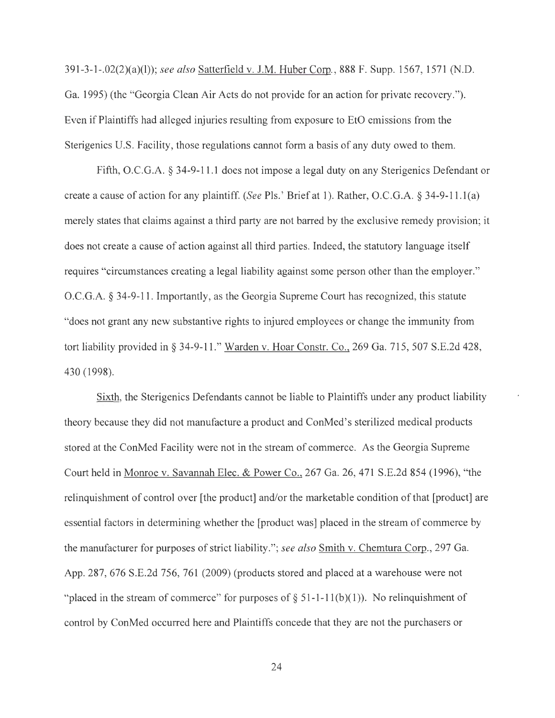391-3-l-.02(2)(a)(l)); *see also* Satterfield v. J.M. Huber Corp., 888 F. Supp. 1567, 1571 (N.D. Ga. 1995) (the "Georgia Clean Air Acts do not provide for an action for private recovery. "). Even if Plaintiffs had alleged injuries resulting from exposure to EtO emissions from the Sterigenics U.S. Facility, those regulations cannot form a basis of any duty owed to them.

Fifth, O.C.G.A. § 34-9-11.1 does not impose a legal duty on any Sterigenics Defendant or create a cause of action for any plaintiff. *(See* Pis. ' Brief at 1). Rather, O.C.G.A. § 34-9-11.l(a) merely states that claims against a third party are not barred by the exclusive remedy provision; it does not create a cause of action against all third parties. Indeed, the statutory language itself requires "circumstances creating a legal liability against some person other than the employer." O.C.G.A. § 34-9-11. Importantly, as the Georgia Supreme Court has recognized, this statute "does not grant any new substantive rights to injured employees or change the immunity from tort liability provided in§ 34-9-11." Warden v. Hoar Constr. Co., 269 Ga. 715, 507 S.E.2d 428, 430 (1998).

Sixth, the Sterigenics Defendants cannot be liable to Plaintiffs under any product liability theory because they did not manufacture a product and ConMed's sterilized medical products stored at the ConMed Facility were not in the stream of commerce. As the Georgia Supreme Court held in Monroe v. Savannah Elec. & Power Co., 267 Ga. 26, 471 S.E.2d 854 (1996), "the relinquishment of control over [the product] and/or the marketable condition of that [product] are essential factors in determining whether the [product was] placed in the stream of commerce by the manufacturer for purposes of strict liability."; *see also* Smith v. Chemtura Corp., 297 Ga. App. 287, 676 S.E.2d 756, 761 (2009) (products stored and placed at a warehouse were not "placed in the stream of commerce" for purposes of  $\S 51-1-11(b)(1)$ . No relinquishment of control by ConMed occurred here and Plaintiffs concede that they are not the purchasers or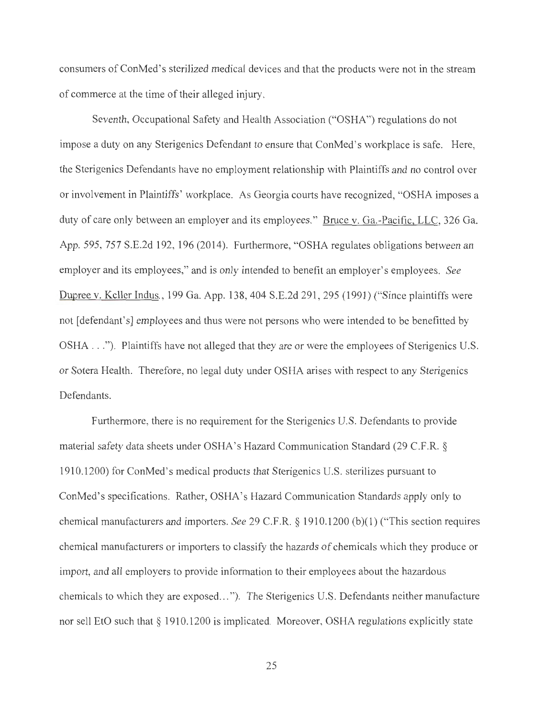consumers of ConMed's sterilized medical devices and that the products were not in the stream of commerce at the time of their alleged injury.

Seventh, Occupational Safety and Health Association ("OSHA") regulations do not impose a duty on any Sterigenics Defendant to ensure that ConMed's workplace is safe. Here, the Sterigenics Defendants have no employment relationship with Plaintiffs and no control over or involvement in Plaintiffs' workplace. As Georgia courts have recognized, "OSHA imposes a duty of care only between an employer and its employees." Bruce v. Ga.-Pacific, LLC, 326 Ga. App. 595, 757 S.E.2d 192, 196 (2014). Furthermore, "OSHA regulates obligations between an employer and its employees," and is only intended to benefit an employer's employees. *See*  Dupree v. Keller Indus., 199 Ga. App. 138,404 S.E.2d 291,295 (1991) ("Since plaintiffs were not [defendant's] employees and thus were not persons who were intended to be benefitted by OSHA ... "). Plaintiffs have not alleged that they are or were the employees of Sterigenics U.S. or Sotera Health. Therefore, no legal duty under OSHA arises with respect to any Sterigenics Defendants.

Furthermore, there is no requirement for the Sterigenics U.S. Defendants to provide material safety data sheets under OSHA's Hazard Communication Standard (29 C.F.R. § 1910.1200) for ConMed's medical products that Sterigenics U.S. sterilizes pursuant to ConMed's specifications. Rather, OSHA's Hazard Communication Standards apply only to chemical manufacturers and importers. *See* 29 C.F.R. § 1910.1200 (b)(l) ("This section requires chemical manufacturers or importers to classify the hazards of chemicals which they produce or import, and all employers to provide information to their employees about the hazardous chemicals to which they are exposed..."). The Sterigenics U.S. Defendants neither manufacture nor sell EtO such that§ 1910.1200 is implicated. Moreover, OSHA regulations explicitly state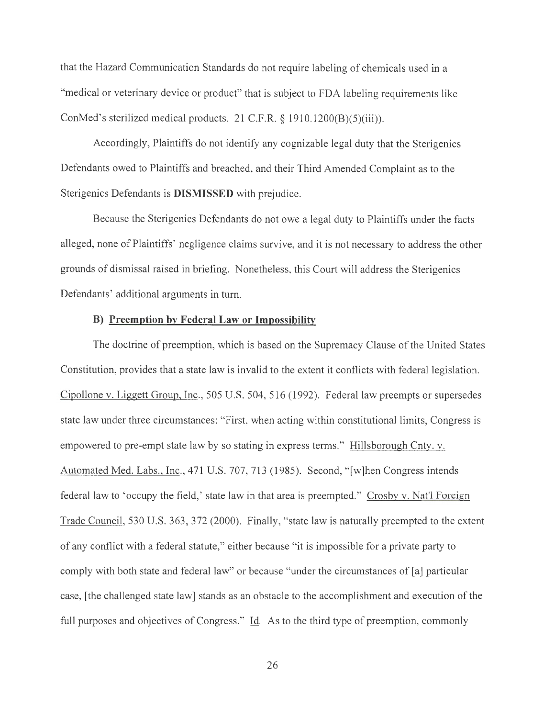that the Hazard Communication Standards do not require labeling of chemicals used in a "medical or veterinary device or product" that is subject to FDA labeling requirements like ConMed's sterilized medical products. 21 C.F.R. § 1910.1200(B)(5)(iii)).

Accordingly, Plaintiffs do not identify any cognizable legal duty that the Sterigenics Defendants owed to Plaintiffs and breached, and their Third Amended Complaint as to the Sterigenics Defendants is **DISMISSED** with prejudice.

Because the Sterigenics Defendants do not owe a legal duty to Plaintiffs under the facts alleged, none of Plaintiffs' negligence claims survive, and it is not necessary to address the other grounds of dismissal raised in briefing. Nonetheless, this Court will address the Sterigenics Defendants' additional arguments in turn.

# **B) Preemption by Federal Law or Impossibility**

The doctrine of preemption, which is based on the Supremacy Clause of the United States Constitution, provides that a state law is invalid to the extent it conflicts with federal legislation. Cipollone v. Liggett Group, Inc., 505 U.S. 504, 516 (1992). Federal law preempts or supersedes state law under three circumstances: "First, when acting within constitutional limits, Congress is empowered to pre-empt state law by so stating in express terms." Hillsborough Cnty. v. Automated Med. Labs., Inc., 471 U.S. 707, 713 (1985). Second, "[w]hen Congress intends federal law to 'occupy the field,' state law in that area is preempted." Crosby v. Nat'l Foreign Trade Council, 530 U.S. 363, 372 (2000). Finally, "state law is naturally preempted to the extent of any conflict with a federal statute," either because "it is impossible for a private party to comply with both state and federal law" or because "under the circumstances of [a] particular case, [the challenged state law] stands as an obstacle to the accomplishment and execution of the full purposes and objectives of Congress." Id. As to the third type of preemption, commonly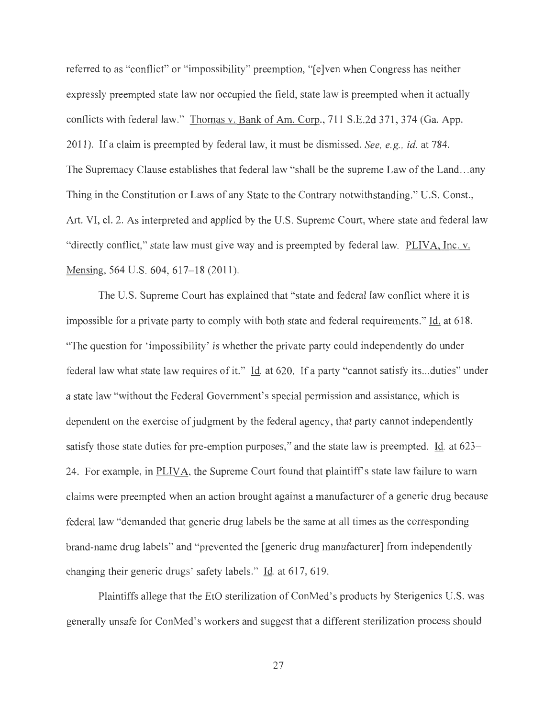referred to as "conflict" or "impossibility" preemption, "[e]ven when Congress has neither expressly preempted state law nor occupied the field, state law is preempted when it actually conflicts with federal law." Thomas v. Bank of Am. Corp., 711 S.E.2d 371, 374 (Ga. App. 2011). If a claim is preempted by federal law, it must be dismissed. *See, e.g. , id.* at 784. The Supremacy Clause establishes that federal law "shall be the supreme Law of the Land...any Thing in the Constitution or Laws of any State to the Contrary notwithstanding." U.S. Const., Art. VI, cl. 2. As interpreted and applied by the U.S. Supreme Court, where state and federal law "directly conflict," state law must give way and is preempted by federal law. PLIVA, Inc. v. Mensing, 564 U.S. 604, 617–18 (2011).

The U.S. Supreme Court has explained that "state and federal law conflict where it is impossible for a private party to comply with both state and federal requirements." Id. at 618. "The question for 'impossibility' is whether the private party could independently do under federal law what state law requires of it." Id. at 620. If a party "cannot satisfy its ... duties" under a state law "without the Federal Government's special permission and assistance, which is dependent on the exercise of judgment by the federal agency, that party cannot independently satisfy those state duties for pre-emption purposes," and the state law is preempted. Id. at 623– 24. For example, in PLIVA, the Supreme Court found that plaintiff's state law failure to warn claims were preempted when an action brought against a manufacturer of a generic drug because federal law "demanded that generic drug labels be the same at all times as the corresponding brand-name drug labels" and "prevented the [generic drug manufacturer] from independently changing their generic drugs' safety labels." Id. at 617, 619.

Plaintiffs allege that the EtO sterilization of ConMed's products by Sterigenics U.S. was generally unsafe for ConMed's workers and suggest that a different sterilization process should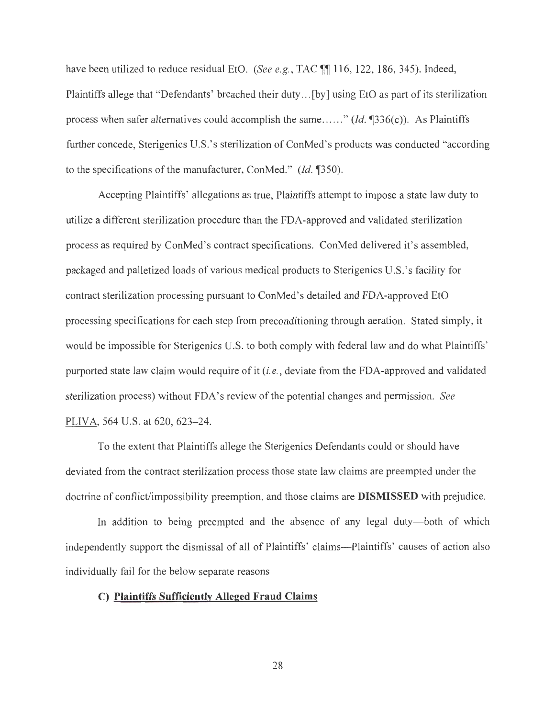have been utilized to reduce residual EtO. *(See e.g., TAC* 116, 122, 186, 345). Indeed, Plaintiffs allege that "Defendants' breached their duty ... [by] using EtO as part of its sterilization process when safer alternatives could accomplish the same......" (*Id.* 1336(c)). As Plaintiffs further concede, Sterigenics U.S. 's sterilization of ConMed's products was conducted "according to the specifications of the manufacturer, ConMed." *(Jd. 1350).* 

Accepting Plaintiffs' allegations as true, Plaintiffs attempt to impose a state law duty to utilize a different sterilization procedure than the FDA-approved and validated sterilization process as required by ConMed's contract specifications. ConMed delivered it's assembled, packaged and palletized loads of various medical products to Sterigenics U.S. 's facility for contract sterilization processing pursuant to ConMed's detailed and FDA-approved EtO processing specifications for each step from preconditioning through aeration. Stated simply, it would be impossible for Sterigenics U.S. to both comply with federal law and do what Plaintiffs' purported state law claim would require of it *(i.e.,* deviate from the FDA-approved and validated sterilization process) without FD A's review of the potential changes and permission. *See*  PLIVA, 564 U.S. at 620, 623-24.

To the extent that Plaintiffs allege the Sterigenics Defendants could or should have deviated from the contract sterilization process those state law claims are preempted under the doctrine of conflict/impossibility preemption, and those claims are **DISMISSED** with prejudice.

In addition to being preempted and the absence of any legal duty--both of which independently support the dismissal of all of Plaintiffs' claims-Plaintiffs' causes of action also individually fail for the below separate reasons

### **C) Plaintiffs Sufficiently Alleged Fraud Claims**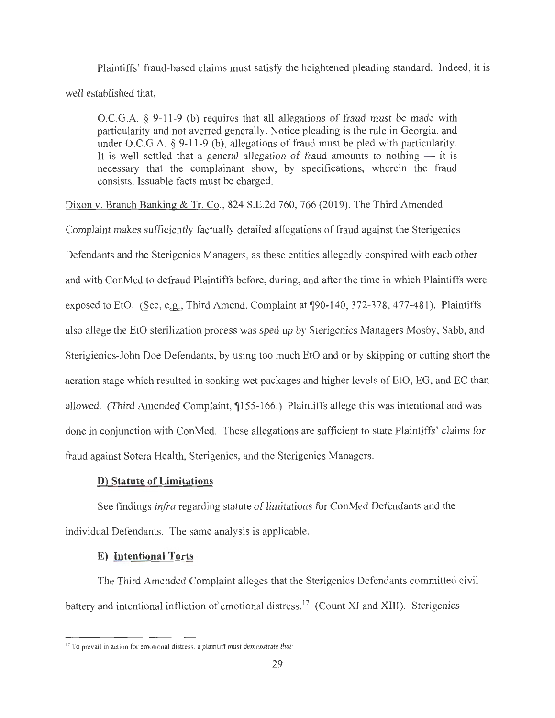Plaintiffs' fraud-based claims must satisfy the heightened pleading standard. Indeed, it is well established that,

O.C.G.A. § 9-11-9 (b) requires that all allegations of fraud must be made with particularity and not averred generally. Notice pleading is the rule in Georgia, and under O.C.G.A. § 9-11-9 (b), allegations of fraud must be pled with particularity. It is well settled that a general allegation of fraud amounts to nothing  $-$  it is necessary that the complainant show, by specifications, wherein the fraud consists. Issuable facts must be charged.

Dixon v. Branch Banking & Tr. Co., 824 S.E.2d 760, 766 (2019). The Third Amended

Complaint makes sufficiently factually detailed allegations of fraud against the Sterigenics Defendants and the Sterigenics Managers, as these entities allegedly conspired with each other and with ConMed to defraud Plaintiffs before, during, and after the time in which Plaintiffs were exposed to EtO. (See, e.g., Third Amend. Complaint at  $\degree$ 90-140, 372-378, 477-481). Plaintiffs also allege the EtO sterilization process was sped up by Sterigenics Managers Mosby, Sabb, and Sterigienics-John Doe Defendants, by using too much EtO and or by skipping or cutting short the aeration stage which resulted in soaking wet packages and higher levels of EtO, EG, and EC than allowed. (Third Amended Complaint,  $\P$ 155-166.) Plaintiffs allege this was intentional and was done in conjunction with ConMed. These allegations are sufficient to state Plaintiffs' claims for fraud against Sotera Health, Sterigenics, and the Sterigenics Managers.

## **D) Statute of Limitations**

See findings *infra* regarding statute of limitations for ConMed Defendants and the individual Defendants. The same analysis is applicable.

## **E) Intentional Torts**

The Third Amended Complaint alleges that the Sterigenics Defendants committed civil battery and intentional infliction of emotional distress.<sup>17</sup> (Count XI and XIII). Sterigenics

<sup>&</sup>lt;sup>17</sup> To prevail in action for emotional distress, a plaintiff must demonstrate that: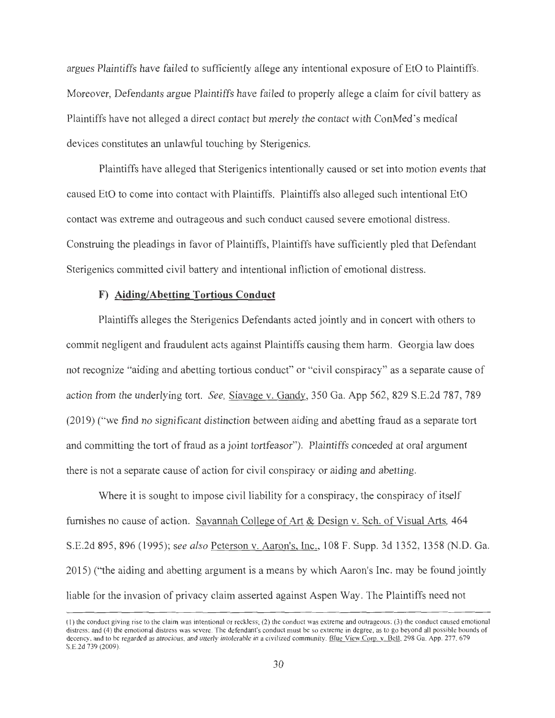argues Plaintiffs have failed to sufficiently allege any intentional exposure of EtO to Plaintiffs. Moreover, Defendants argue Plaintiffs have failed to properly allege a claim for civil battery as Plaintiffs have not alleged a direct contact but merely the contact with ConMed's medical devices constitutes an unlawful touching by Sterigenics.

Plaintiffs have alleged that Sterigenics intentionally caused or set into motion events that caused EtO to come into contact with Plaintiffs. Plaintiffs also alleged such intentional EtO contact was extreme and outrageous and such conduct caused severe emotional distress. Construing the pleadings in favor of Plaintiffs, Plaintiffs have sufficiently pled that Defendant Sterigenics committed civil battery and intentional infliction of emotional distress.

# **F) Aiding/Abetting Tortious Conduct**

Plaintiffs alleges the Sterigenics Defendants acted jointly and in concert with others to commit negligent and fraudulent acts against Plaintiffs causing them harm. Georgia law does not recognize "aiding and abetting tortious conduct" or "civil conspiracy" as a separate cause of action from the underlying tort. *See,* Siavage v. Gandy, 350 Ga. App 562, 829 S.E.2d 787, 789 (2019) ("we find no significant distinction between aiding and abetting fraud as a separate tort and committing the tort of fraud as a joint tortfeasor"). Plaintiffs conceded at oral argument there is not a separate cause of action for civil conspiracy or aiding and abetting.

Where it is sought to impose civil liability for a conspiracy, the conspiracy of itself furnishes no cause of action. Savannah College of Art & Design v. Sch. of Visual Arts, 464 S.E.2d 895, 896 (1995); *see also* Peterson v. Aaron's, Inc., 108 F. Supp. 3d 1352, 1358 (N.D. Ga. 2015) ("the aiding and abetting argument is a means by which Aaron's Inc. may be found jointly liable for the invasion of privacy claim asserted against Aspen Way. The Plaintiffs need not

<sup>(</sup>I) the conduct giving rise to the claim was intentional or reckless; (2) the conduct was extreme and outrageous; (3) the conduct caused emotional distress; and (4) the emotional distress was severe. The defendant's conduct must be so extreme in degree, as to go beyond all possible bounds of decency, and to be regarded as atrocious, and utterly intolerable in a civilized community. Blue View Corp. v. Bell, 298 Ga. App. 277, 679 S.E.2d 739 (2009).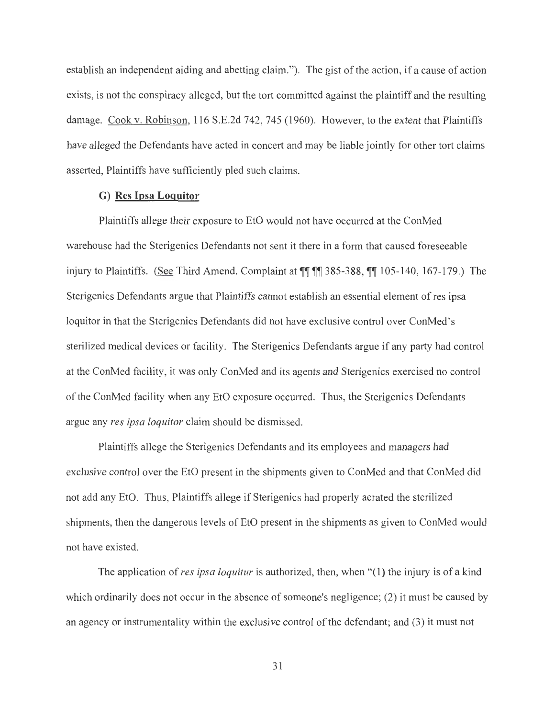establish an independent aiding and abetting claim."). The gist of the action, if a cause of action exists, is not the conspiracy alleged, but the tort committed against the plaintiff and the resulting damage. Cook v. Robinson, 116 S.E.2d 742, 745 (1960). However, to the extent that Plaintiffs have alleged the Defendants have acted in concert and may be liable jointly for other tort claims asserted, Plaintiffs have sufficiently pied such claims.

# **G) Res Ipsa Loguitor**

Plaintiffs allege their exposure to EtO would not have occurred at the ConMed warehouse had the Sterigenics Defendants not sent it there in a form that caused foreseeable injury to Plaintiffs. (See Third Amend. Complaint at **11 11** 385-388, **11** 105-140, 167-179.) The Sterigenics Defendants argue that Plaintiffs cannot establish an essential element of res ipsa loquitor in that the Sterigenics Defendants did not have exclusive control over ConMed's sterilized medical devices or facility. The Sterigenics Defendants argue if any party had control at the ConMed facility, it was only ConMed and its agents and Sterigenics exercised no control of the ConMed facility when any EtO exposure occurred. Thus, the Sterigenics Defendants argue any *res ipsa loquitor* claim should be dismissed.

Plaintiffs allege the Sterigenics Defendants and its employees and managers had exclusive control over the EtO present in the shipments given to ConMed and that ConMed did not add any EtO. Thus, Plaintiffs allege if Sterigenics had properly aerated the sterilized shipments, then the dangerous levels of EtO present in the shipments as given to ConMed would not have existed.

The application of *res ipsa loquitur* is authorized, then, when "(1) the injury is of a kind which ordinarily does not occur in the absence of someone's negligence; (2) it must be caused by an agency or instrumentality within the exclusive control of the defendant; and (3) it must not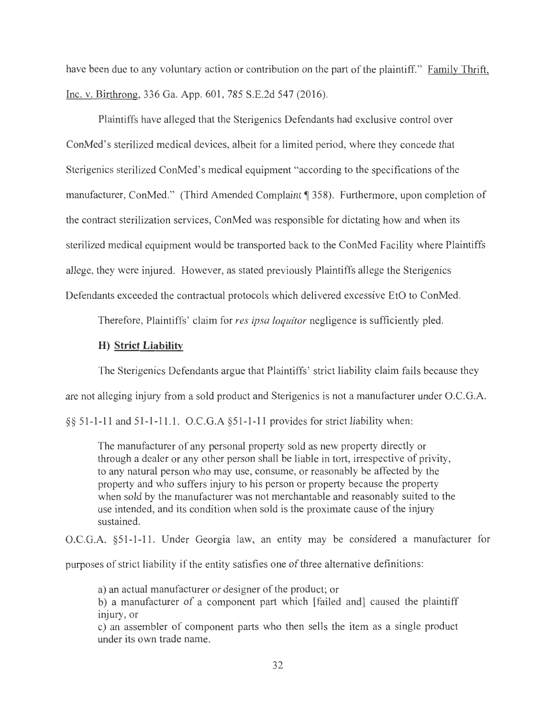have been due to any voluntary action or contribution on the part of the plaintiff." Family Thrift, Inc. v. Birthrong, 336 Ga. App. 601, 785 S.E.2d 547 (2016).

Plaintiffs have alleged that the Sterigenics Defendants had exclusive control over ConMed's sterilized medical devices, albeit for a limited period, where they concede that Sterigenics sterilized ConMed's medical equipment "according to the specifications of the manufacturer, ConMed." (Third Amended Complaint [ 358). Furthermore, upon completion of the contract sterilization services, ConMed was responsible for dictating how and when its sterilized medical equipment would be transported back to the ConMed Facility where Plaintiffs allege, they were injured. However, as stated previously Plaintiffs allege the Sterigenics Defendants exceeded the contractual protocols which delivered excessive EtO to ConMed.

Therefore, Plaintiffs' claim for *res ipsa loquitor* negligence is sufficiently pled.

#### **H) Strict Liability**

The Sterigenics Defendants argue that Plaintiffs' strict liability claim fails because they

are not alleging injury from a sold product and Sterigenics is not a manufacturer under O.C.G.A.

§§ 51-1-11 and 51-1-11.1. O.C.G.A §51-1-11 provides for strict liability when:

The manufacturer of any personal property sold as new property directly or through a dealer or any other person shall be liable in tort, irrespective of privity, to any natural person who may use, consume, or reasonably be affected by the property and who suffers injury to his person or property because the property when sold by the manufacturer was not merchantable and reasonably suited to the use intended, and its condition when sold is the proximate cause of the injury sustained.

O.C.G.A. §51-1-11. Under Georgia law, an entity may be considered a manufacturer for

purposes of strict liability if the entity satisfies one of three alternative definitions:

a) an actual manufacturer or designer of the product; or

b) a manufacturer of a component part which [failed and] caused the plaintiff injury, or

c) an assembler of component parts who then sells the item as a single product under its own trade name.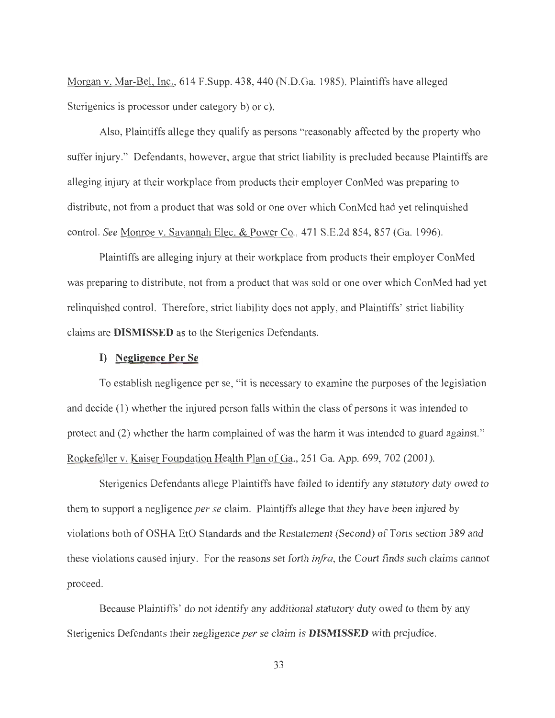Morgan v. Mar-Bel, Inc., 614 F.Supp. 438, 440 (N.D.Ga. 1985). Plaintiffs have alleged Sterigenics is processor under category b) or c).

Also, Plaintiffs allege they qualify as persons "reasonably affected by the property who suffer injury." Defendants, however, argue that strict liability is precluded because Plaintiffs are alleging injury at their workplace from products their employer ConMed was preparing to distribute, not from a product that was sold or one over which ConMed had yet relinquished control. *See* Monroe v. Savannah Elec. & Power Co., 471 S.E.2d 854, 857 (Ga. 1996).

Plaintiffs are alleging injury at their workplace from products their employer ConMed was preparing to distribute, not from a product that was sold or one over which ConMed had yet relinquished control. Therefore, strict liability does not apply, and Plaintiffs' strict liability claims are **DISMISSED** as to the Sterigenics Defendants.

#### **I) Negligence Per Se**

To establish negligence per se, "it is necessary to examine the purposes of the legislation and decide (1) whether the injured person falls within the class of persons it was intended to protect and (2) whether the harm complained of was the harm it was intended to guard against. " Rockefeller v. Kaiser Foundation Health Plan of Ga., 251 Ga. App. 699, 702 (2001 ).

Sterigenics Defendants allege Plaintiffs have failed to identify any statutory duty owed to them to support a negligence *per se* claim. Plaintiffs allege that they have been injured by violations both of OSHA EtO Standards and the Restatement (Second) of Torts section 389 and these violations caused injury. For the reasons set forth *infra,* the Court finds such claims cannot proceed.

Because Plaintiffs' do not identify any additional statutory duty owed to them by any Sterigenics Defendants their negligence *per* se claim is **DISMISSED** with prejudice.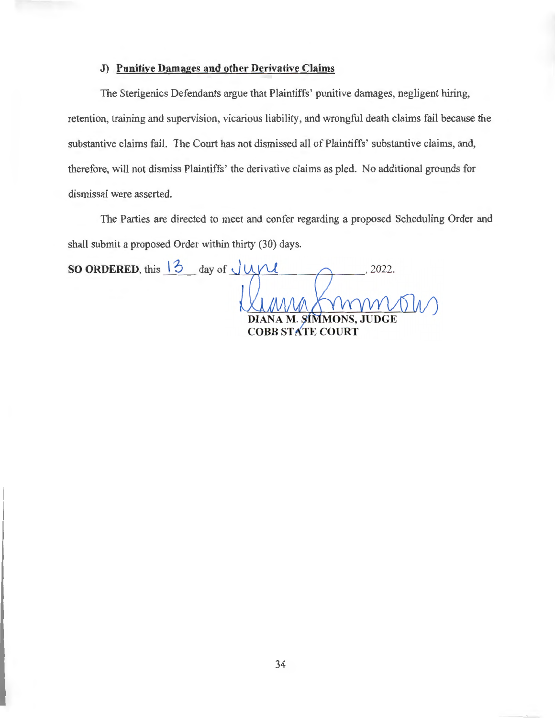#### **J) Punitive Damages and other Derivative Claims**

The Sterigenics Defendants argue that Plaintiffs' punitive damages, negligent hiring, retention, training and supervision, vicarious liability, and wrongful death claims fail because the substantive claims fail. The Court has not dismissed all of Plaintiffs' substantive claims, and, therefore, will not dismiss Plaintiffs' the derivative claims as pled. No additional grounds for dismissal were asserted.

The Parties are directed to meet and confer regarding a proposed Scheduling Order and shall submit a proposed Order within thirty (30) days.

**SO ORDERED,** this  $\left| \frac{3}{2} \right|$  day of  $\sqrt{MN}$ , 2022. DIANA M. SIMMONS, **COBB STATE COURT**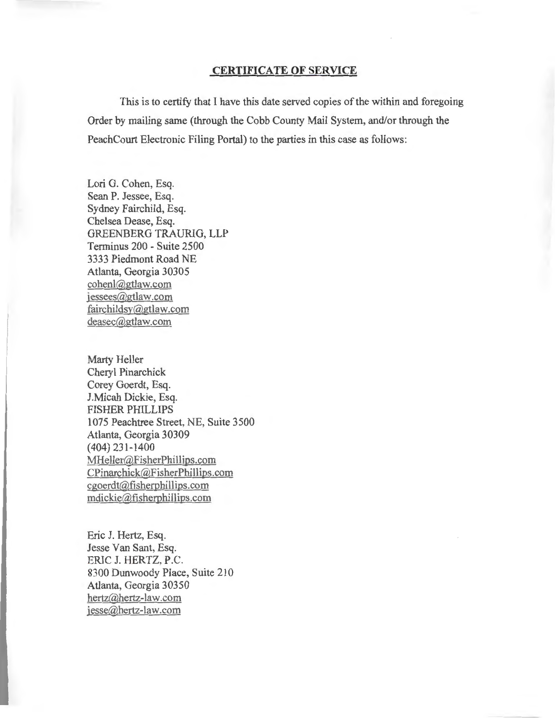## **CERTIFICATE OF SERVICE**

This is to certify that I have this date served copies of the within and foregoing Order by mailing same (through the Cobb County Mail System, and/or through the PeachCourt Electronic Filing Portal) to the parties in this case as follows:

Lori G. Cohen, Esq. Sean P. Jessee, Esq. Sydney Fairchild, Esq. Chelsea Dease, Esq. GREENBERG TRAURIG, LLP Terminus 200 - Suite 2500 3333 Piedmont Road NE Atlanta, Georgia 30305 cohenl@gtlaw.com jessees@gtlaw.com fairchildsy@gtlaw.com deasec@gtlaw.com

Marty Heller Cheryl Pinarchick Corey Goerdt, Esq. I.Micah Dickie, Esq. FISHER PHILLIPS 1075 Peachtree Street, NE, Suite 3500 Atlanta, Georgia 30309 ( 404) 23 1-1400 MHeller@FisherPhillips.com CPinarchick@FisherPhillips.com cgoerdt@fisherphillips.com mdickie@fisherphillips.com

Eric J. Hertz, Esq. Jesse Van Sant, Esq. ERIC J. HERTZ, P.C. 8300 Dunwoody Place, Suite 210 Atlanta, Georgia 30350 hertz@hertz-law.com jesse@hertz-law.com